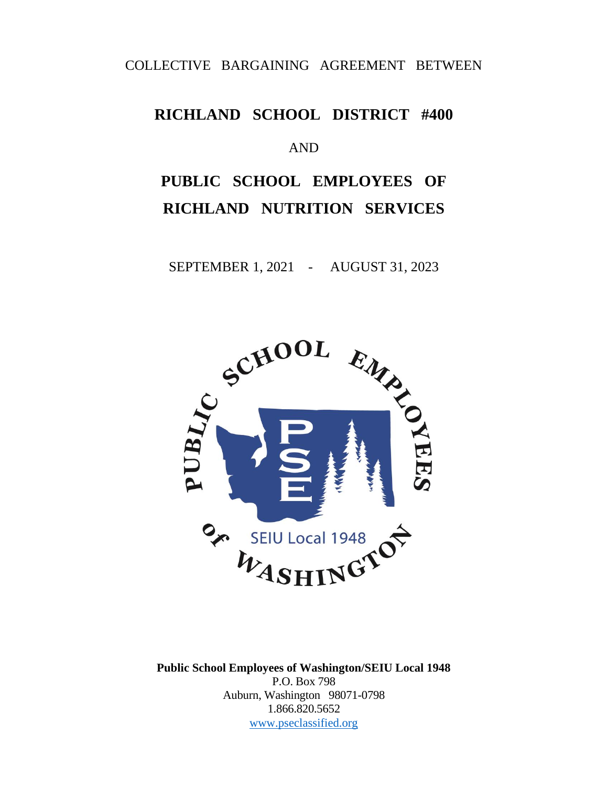## COLLECTIVE BARGAINING AGREEMENT BETWEEN

## **RICHLAND SCHOOL DISTRICT #400**

#### AND

# **PUBLIC SCHOOL EMPLOYEES OF RICHLAND NUTRITION SERVICES**

SEPTEMBER 1, 2021 - AUGUST 31, 2023



**Public School Employees of Washington/SEIU Local 1948** P.O. Box 798 Auburn, Washington 98071-0798 1.866.820.5652 [www.pseclassified.org](http://www.pseclassified.org/)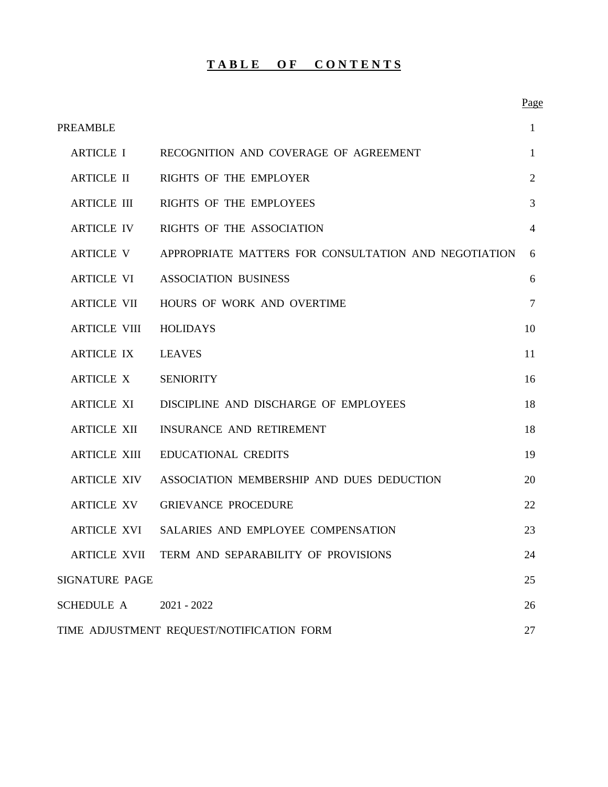#### **TABLE OF CONTENTS**

| <b>PREAMBLE</b>     |                                                      | $\mathbf{1}$   |
|---------------------|------------------------------------------------------|----------------|
| <b>ARTICLE I</b>    | RECOGNITION AND COVERAGE OF AGREEMENT                | $\mathbf{1}$   |
| <b>ARTICLE II</b>   | RIGHTS OF THE EMPLOYER                               | $\overline{2}$ |
| <b>ARTICLE III</b>  | RIGHTS OF THE EMPLOYEES                              | 3              |
| <b>ARTICLE IV</b>   | RIGHTS OF THE ASSOCIATION                            | $\overline{4}$ |
| <b>ARTICLE V</b>    | APPROPRIATE MATTERS FOR CONSULTATION AND NEGOTIATION | 6              |
| <b>ARTICLE VI</b>   | <b>ASSOCIATION BUSINESS</b>                          | 6              |
| <b>ARTICLE VII</b>  | HOURS OF WORK AND OVERTIME                           | $\overline{7}$ |
| <b>ARTICLE VIII</b> | <b>HOLIDAYS</b>                                      | 10             |
| <b>ARTICLE IX</b>   | <b>LEAVES</b>                                        | 11             |
| <b>ARTICLE X</b>    | <b>SENIORITY</b>                                     | 16             |
| <b>ARTICLE XI</b>   | DISCIPLINE AND DISCHARGE OF EMPLOYEES                | 18             |
| <b>ARTICLE XII</b>  | INSURANCE AND RETIREMENT                             | 18             |
| <b>ARTICLE XIII</b> | <b>EDUCATIONAL CREDITS</b>                           | 19             |
| <b>ARTICLE XIV</b>  | ASSOCIATION MEMBERSHIP AND DUES DEDUCTION            | 20             |
| <b>ARTICLE XV</b>   | <b>GRIEVANCE PROCEDURE</b>                           | 22             |
| <b>ARTICLE XVI</b>  | SALARIES AND EMPLOYEE COMPENSATION                   | 23             |
|                     | ARTICLE XVII TERM AND SEPARABILITY OF PROVISIONS     | 24             |
| SIGNATURE PAGE      |                                                      | 25             |
| <b>SCHEDULE A</b>   | $2021 - 2022$                                        | 26             |
|                     | TIME ADJUSTMENT REQUEST/NOTIFICATION FORM            | 27             |

Page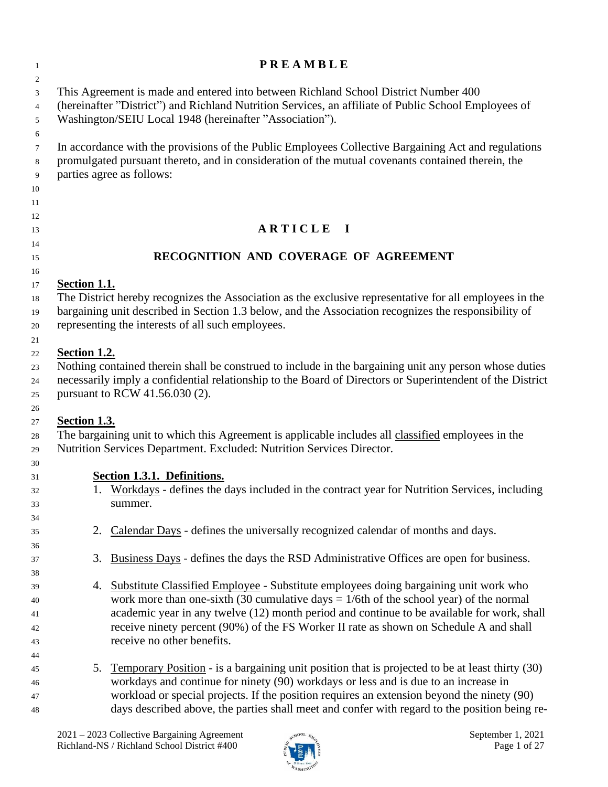| $\overline{1}$                     | <b>PREAMBLE</b>                                                                                                                                                                                                                                                                                                                                                                                               |
|------------------------------------|---------------------------------------------------------------------------------------------------------------------------------------------------------------------------------------------------------------------------------------------------------------------------------------------------------------------------------------------------------------------------------------------------------------|
| 2<br>3<br>$\overline{4}$<br>5<br>6 | This Agreement is made and entered into between Richland School District Number 400<br>(hereinafter "District") and Richland Nutrition Services, an affiliate of Public School Employees of<br>Washington/SEIU Local 1948 (hereinafter "Association").                                                                                                                                                        |
| $\tau$<br>8<br>9<br>10<br>11       | In accordance with the provisions of the Public Employees Collective Bargaining Act and regulations<br>promulgated pursuant thereto, and in consideration of the mutual covenants contained therein, the<br>parties agree as follows:                                                                                                                                                                         |
| 12<br>13                           | ARTICLE I                                                                                                                                                                                                                                                                                                                                                                                                     |
| 14                                 |                                                                                                                                                                                                                                                                                                                                                                                                               |
| 15<br>16                           | RECOGNITION AND COVERAGE OF AGREEMENT                                                                                                                                                                                                                                                                                                                                                                         |
| 17<br>18<br>19<br>20<br>21         | Section 1.1.<br>The District hereby recognizes the Association as the exclusive representative for all employees in the<br>bargaining unit described in Section 1.3 below, and the Association recognizes the responsibility of<br>representing the interests of all such employees.                                                                                                                          |
| 22<br>23<br>24<br>25<br>26         | Section 1.2.<br>Nothing contained therein shall be construed to include in the bargaining unit any person whose duties<br>necessarily imply a confidential relationship to the Board of Directors or Superintendent of the District<br>pursuant to RCW 41.56.030 (2).                                                                                                                                         |
| 27<br>28<br>29                     | Section 1.3.<br>The bargaining unit to which this Agreement is applicable includes all classified employees in the<br>Nutrition Services Department. Excluded: Nutrition Services Director.                                                                                                                                                                                                                   |
| 30<br>31<br>32<br>33<br>34         | Section 1.3.1. Definitions.<br>1. Workdays - defines the days included in the contract year for Nutrition Services, including<br>summer.                                                                                                                                                                                                                                                                      |
| 35<br>36                           | Calendar Days - defines the universally recognized calendar of months and days.<br>2.                                                                                                                                                                                                                                                                                                                         |
| 37<br>38                           | Business Days - defines the days the RSD Administrative Offices are open for business.<br>3.                                                                                                                                                                                                                                                                                                                  |
| 39<br>40<br>41<br>42<br>43<br>44   | Substitute Classified Employee - Substitute employees doing bargaining unit work who<br>4.<br>work more than one-sixth (30 cumulative days $= 1/6$ th of the school year) of the normal<br>academic year in any twelve (12) month period and continue to be available for work, shall<br>receive ninety percent (90%) of the FS Worker II rate as shown on Schedule A and shall<br>receive no other benefits. |
| 45<br>46<br>47<br>48               | Temporary Position - is a bargaining unit position that is projected to be at least thirty (30)<br>5.<br>workdays and continue for ninety (90) workdays or less and is due to an increase in<br>workload or special projects. If the position requires an extension beyond the ninety (90)<br>days described above, the parties shall meet and confer with regard to the position being re-                   |

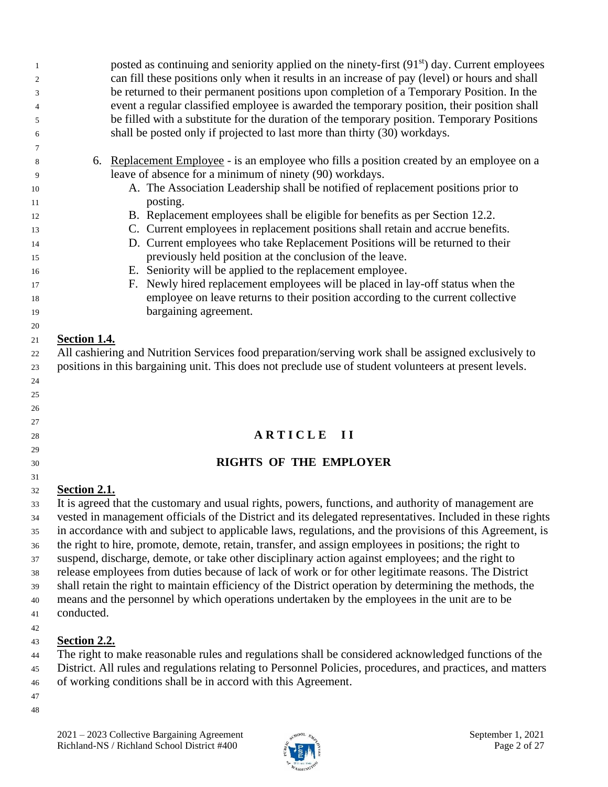posted as continuing and seniority applied on the ninety-first  $(91<sup>st</sup>)$  day. Current employees can fill these positions only when it results in an increase of pay (level) or hours and shall be returned to their permanent positions upon completion of a Temporary Position. In the event a regular classified employee is awarded the temporary position, their position shall be filled with a substitute for the duration of the temporary position. Temporary Positions shall be posted only if projected to last more than thirty (30) workdays. 6. Replacement Employee - is an employee who fills a position created by an employee on a leave of absence for a minimum of ninety (90) workdays. A. The Association Leadership shall be notified of replacement positions prior to posting. B. Replacement employees shall be eligible for benefits as per Section 12.2. C. Current employees in replacement positions shall retain and accrue benefits. D. Current employees who take Replacement Positions will be returned to their previously held position at the conclusion of the leave. E. Seniority will be applied to the replacement employee. F. Newly hired replacement employees will be placed in lay-off status when the employee on leave returns to their position according to the current collective bargaining agreement. **Section 1.4.** All cashiering and Nutrition Services food preparation/serving work shall be assigned exclusively to positions in this bargaining unit. This does not preclude use of student volunteers at present levels. **A R T I C L E I I RIGHTS OF THE EMPLOYER Section 2.1.** It is agreed that the customary and usual rights, powers, functions, and authority of management are vested in management officials of the District and its delegated representatives. Included in these rights in accordance with and subject to applicable laws, regulations, and the provisions of this Agreement, is the right to hire, promote, demote, retain, transfer, and assign employees in positions; the right to suspend, discharge, demote, or take other disciplinary action against employees; and the right to release employees from duties because of lack of work or for other legitimate reasons. The District shall retain the right to maintain efficiency of the District operation by determining the methods, the means and the personnel by which operations undertaken by the employees in the unit are to be conducted. **Section 2.2.** The right to make reasonable rules and regulations shall be considered acknowledged functions of the District. All rules and regulations relating to Personnel Policies, procedures, and practices, and matters of working conditions shall be in accord with this Agreement.

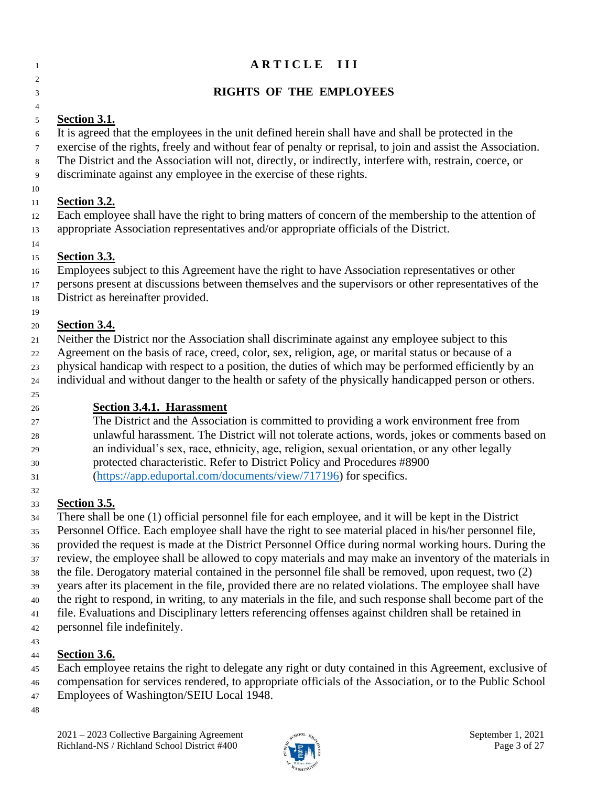| 1        | ARTICLE III                                                                                                                                                                                                            |
|----------|------------------------------------------------------------------------------------------------------------------------------------------------------------------------------------------------------------------------|
| 2        |                                                                                                                                                                                                                        |
| 3        | <b>RIGHTS OF THE EMPLOYEES</b>                                                                                                                                                                                         |
| 4        |                                                                                                                                                                                                                        |
| 5        | <b>Section 3.1.</b>                                                                                                                                                                                                    |
| 6        | It is agreed that the employees in the unit defined herein shall have and shall be protected in the                                                                                                                    |
| $\tau$   | exercise of the rights, freely and without fear of penalty or reprisal, to join and assist the Association.                                                                                                            |
| 8        | The District and the Association will not, directly, or indirectly, interfere with, restrain, coerce, or<br>discriminate against any employee in the exercise of these rights.                                         |
| 9<br>10  |                                                                                                                                                                                                                        |
| 11       | Section 3.2.                                                                                                                                                                                                           |
| 12       | Each employee shall have the right to bring matters of concern of the membership to the attention of                                                                                                                   |
| 13       | appropriate Association representatives and/or appropriate officials of the District.                                                                                                                                  |
| 14       |                                                                                                                                                                                                                        |
| 15       | <b>Section 3.3.</b>                                                                                                                                                                                                    |
| 16       | Employees subject to this Agreement have the right to have Association representatives or other                                                                                                                        |
| 17       | persons present at discussions between themselves and the supervisors or other representatives of the                                                                                                                  |
| 18       | District as hereinafter provided.                                                                                                                                                                                      |
| 19<br>20 | Section 3.4.                                                                                                                                                                                                           |
| 21       | Neither the District nor the Association shall discriminate against any employee subject to this                                                                                                                       |
| 22       | Agreement on the basis of race, creed, color, sex, religion, age, or marital status or because of a                                                                                                                    |
| 23       | physical handicap with respect to a position, the duties of which may be performed efficiently by an                                                                                                                   |
| 24       | individual and without danger to the health or safety of the physically handicapped person or others.                                                                                                                  |
| 25       |                                                                                                                                                                                                                        |
| 26       | <b>Section 3.4.1. Harassment</b>                                                                                                                                                                                       |
| 27       | The District and the Association is committed to providing a work environment free from                                                                                                                                |
| 28       | unlawful harassment. The District will not tolerate actions, words, jokes or comments based on<br>an individual's sex, race, ethnicity, age, religion, sexual orientation, or any other legally                        |
| 29<br>30 | protected characteristic. Refer to District Policy and Procedures #8900                                                                                                                                                |
| 31       | (https://app.eduportal.com/documents/view/717196) for specifics.                                                                                                                                                       |
| 32       |                                                                                                                                                                                                                        |
| 33       | <b>Section 3.5.</b>                                                                                                                                                                                                    |
| 34       | There shall be one (1) official personnel file for each employee, and it will be kept in the District                                                                                                                  |
| 35       | Personnel Office. Each employee shall have the right to see material placed in his/her personnel file,                                                                                                                 |
| 36       | provided the request is made at the District Personnel Office during normal working hours. During the                                                                                                                  |
| 37       | review, the employee shall be allowed to copy materials and may make an inventory of the materials in                                                                                                                  |
| 38       | the file. Derogatory material contained in the personnel file shall be removed, upon request, two (2)                                                                                                                  |
| 39       | years after its placement in the file, provided there are no related violations. The employee shall have<br>the right to respond, in writing, to any materials in the file, and such response shall become part of the |
| 40<br>41 | file. Evaluations and Disciplinary letters referencing offenses against children shall be retained in                                                                                                                  |
| 42       | personnel file indefinitely.                                                                                                                                                                                           |
| 43       |                                                                                                                                                                                                                        |

## **Section 3.6.**

 Each employee retains the right to delegate any right or duty contained in this Agreement, exclusive of compensation for services rendered, to appropriate officials of the Association, or to the Public School

Employees of Washington/SEIU Local 1948.

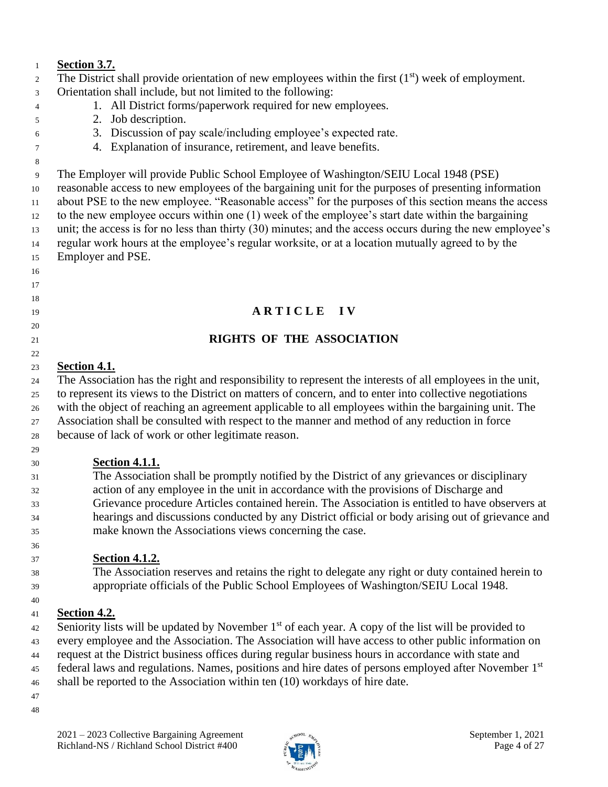| $\mathbf{1}$   | <b>Section 3.7.</b>                                                                                              |
|----------------|------------------------------------------------------------------------------------------------------------------|
| 2              | The District shall provide orientation of new employees within the first $(1st)$ week of employment.             |
| $\mathfrak{Z}$ | Orientation shall include, but not limited to the following:                                                     |
| 4              | 1. All District forms/paperwork required for new employees.                                                      |
| 5              | 2. Job description.                                                                                              |
| 6              | 3. Discussion of pay scale/including employee's expected rate.                                                   |
| $\overline{7}$ | 4. Explanation of insurance, retirement, and leave benefits.                                                     |
| 8              |                                                                                                                  |
| 9              | The Employer will provide Public School Employee of Washington/SEIU Local 1948 (PSE)                             |
| 10             | reasonable access to new employees of the bargaining unit for the purposes of presenting information             |
| 11             | about PSE to the new employee. "Reasonable access" for the purposes of this section means the access             |
| 12             | to the new employee occurs within one (1) week of the employee's start date within the bargaining                |
| 13             | unit; the access is for no less than thirty (30) minutes; and the access occurs during the new employee's        |
| 14             | regular work hours at the employee's regular worksite, or at a location mutually agreed to by the                |
| 15             | Employer and PSE.                                                                                                |
| 16             |                                                                                                                  |
| 17             |                                                                                                                  |
| 18             |                                                                                                                  |
| 19             | ARTICLE IV                                                                                                       |
| 20             |                                                                                                                  |
| 21             | <b>RIGHTS OF THE ASSOCIATION</b>                                                                                 |
| 22             |                                                                                                                  |
| 23             | <b>Section 4.1.</b>                                                                                              |
| 24             | The Association has the right and responsibility to represent the interests of all employees in the unit,        |
| 25             | to represent its views to the District on matters of concern, and to enter into collective negotiations          |
| 26             | with the object of reaching an agreement applicable to all employees within the bargaining unit. The             |
| 27             | Association shall be consulted with respect to the manner and method of any reduction in force                   |
| 28             | because of lack of work or other legitimate reason.                                                              |
| 29             |                                                                                                                  |
| 30             | <b>Section 4.1.1.</b>                                                                                            |
| 31             | The Association shall be promptly notified by the District of any grievances or disciplinary                     |
| 32             | action of any employee in the unit in accordance with the provisions of Discharge and                            |
| 33             | Grievance procedure Articles contained herein. The Association is entitled to have observers at                  |
| 34             | hearings and discussions conducted by any District official or body arising out of grievance and                 |
| 35             | make known the Associations views concerning the case.                                                           |
| 36             |                                                                                                                  |
| 37             | <b>Section 4.1.2.</b>                                                                                            |
| 38             | The Association reserves and retains the right to delegate any right or duty contained herein to                 |
| 39             | appropriate officials of the Public School Employees of Washington/SEIU Local 1948.                              |
| 40             |                                                                                                                  |
| 41             | Section 4.2.                                                                                                     |
| 42             | Seniority lists will be updated by November 1 <sup>st</sup> of each year. A copy of the list will be provided to |
| 43             | every employee and the Association. The Association will have access to other public information on              |
| 44             | request at the District business offices during regular business hours in accordance with state and              |
| 45             | federal laws and regulations. Names, positions and hire dates of persons employed after November 1st             |
| 46             | shall be reported to the Association within ten (10) workdays of hire date.                                      |
| 47             |                                                                                                                  |
|                |                                                                                                                  |

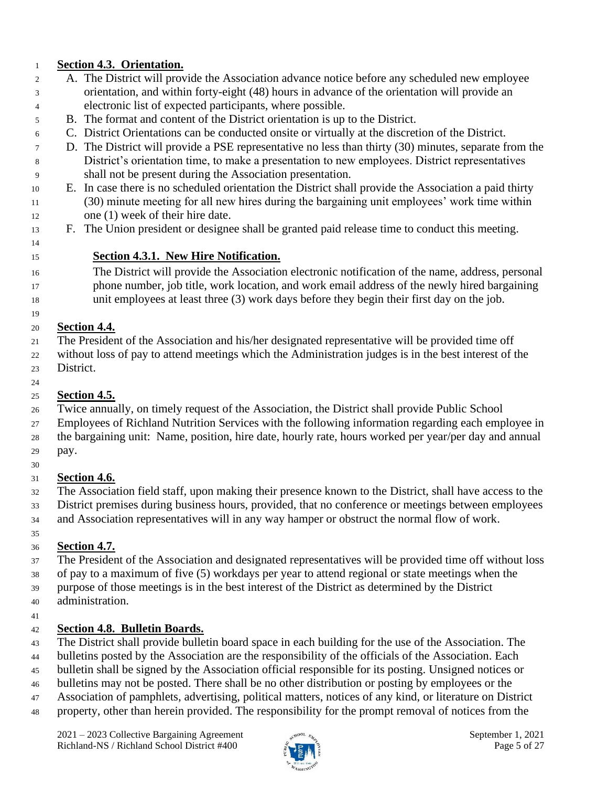#### **Section 4.3. Orientation.**

- A. The District will provide the Association advance notice before any scheduled new employee orientation, and within forty-eight (48) hours in advance of the orientation will provide an electronic list of expected participants, where possible.
- B. The format and content of the District orientation is up to the District.
- C. District Orientations can be conducted onsite or virtually at the discretion of the District.
- D. The District will provide a PSE representative no less than thirty (30) minutes, separate from the District's orientation time, to make a presentation to new employees. District representatives shall not be present during the Association presentation.
- E. In case there is no scheduled orientation the District shall provide the Association a paid thirty (30) minute meeting for all new hires during the bargaining unit employees' work time within one (1) week of their hire date.
- F. The Union president or designee shall be granted paid release time to conduct this meeting.
- **Section 4.3.1. New Hire Notification.**

#### The District will provide the Association electronic notification of the name, address, personal phone number, job title, work location, and work email address of the newly hired bargaining unit employees at least three (3) work days before they begin their first day on the job.

## **Section 4.4.**

- The President of the Association and his/her designated representative will be provided time off
- without loss of pay to attend meetings which the Administration judges is in the best interest of the District.
- 

## **Section 4.5.**

- Twice annually, on timely request of the Association, the District shall provide Public School
- Employees of Richland Nutrition Services with the following information regarding each employee in
- the bargaining unit: Name, position, hire date, hourly rate, hours worked per year/per day and annual pay.
- 

## **Section 4.6.**

- The Association field staff, upon making their presence known to the District, shall have access to the
- District premises during business hours, provided, that no conference or meetings between employees and Association representatives will in any way hamper or obstruct the normal flow of work.
- 

## **Section 4.7.**

- The President of the Association and designated representatives will be provided time off without loss of pay to a maximum of five (5) workdays per year to attend regional or state meetings when the purpose of those meetings is in the best interest of the District as determined by the District administration.
- 

## **Section 4.8. Bulletin Boards.**

- The District shall provide bulletin board space in each building for the use of the Association. The
- bulletins posted by the Association are the responsibility of the officials of the Association. Each
- bulletin shall be signed by the Association official responsible for its posting. Unsigned notices or
- bulletins may not be posted. There shall be no other distribution or posting by employees or the
- Association of pamphlets, advertising, political matters, notices of any kind, or literature on District
- property, other than herein provided. The responsibility for the prompt removal of notices from the

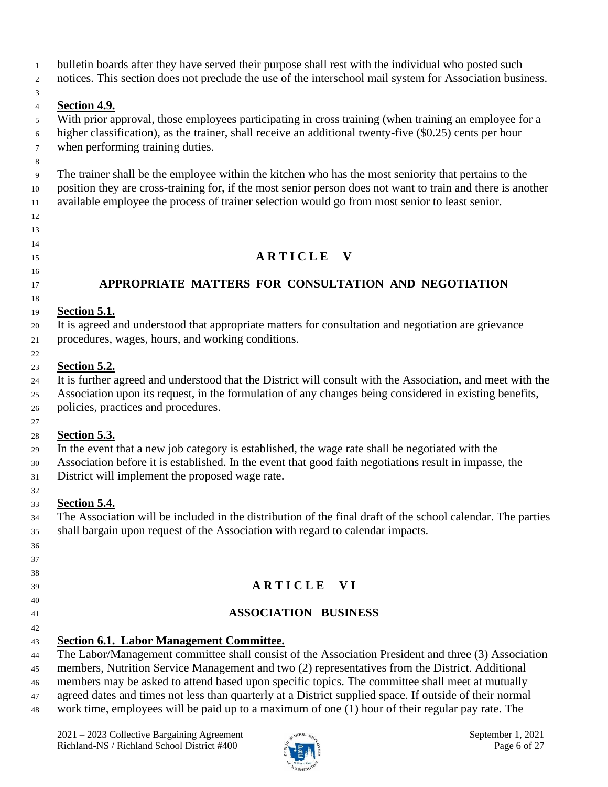bulletin boards after they have served their purpose shall rest with the individual who posted such

notices. This section does not preclude the use of the interschool mail system for Association business.

#### 

 

#### **Section 4.9.**

 With prior approval, those employees participating in cross training (when training an employee for a higher classification), as the trainer, shall receive an additional twenty-five (\$0.25) cents per hour when performing training duties.

 The trainer shall be the employee within the kitchen who has the most seniority that pertains to the position they are cross-training for, if the most senior person does not want to train and there is another available employee the process of trainer selection would go from most senior to least senior.

## **A R T I C L E V**

#### **APPROPRIATE MATTERS FOR CONSULTATION AND NEGOTIATION**

#### **Section 5.1.**

It is agreed and understood that appropriate matters for consultation and negotiation are grievance

procedures, wages, hours, and working conditions.

#### **Section 5.2.**

 It is further agreed and understood that the District will consult with the Association, and meet with the Association upon its request, in the formulation of any changes being considered in existing benefits, policies, practices and procedures.

#### 

#### **Section 5.3.**

In the event that a new job category is established, the wage rate shall be negotiated with the

Association before it is established. In the event that good faith negotiations result in impasse, the

District will implement the proposed wage rate.

#### **Section 5.4.**

 The Association will be included in the distribution of the final draft of the school calendar. The parties shall bargain upon request of the Association with regard to calendar impacts.

#### 

#### 

- 
- **A R T I C L E V I**
- 
- **ASSOCIATION BUSINESS**
- 

#### **Section 6.1. Labor Management Committee.**

The Labor/Management committee shall consist of the Association President and three (3) Association

members, Nutrition Service Management and two (2) representatives from the District. Additional

- members may be asked to attend based upon specific topics. The committee shall meet at mutually
- agreed dates and times not less than quarterly at a District supplied space. If outside of their normal
- work time, employees will be paid up to a maximum of one (1) hour of their regular pay rate. The

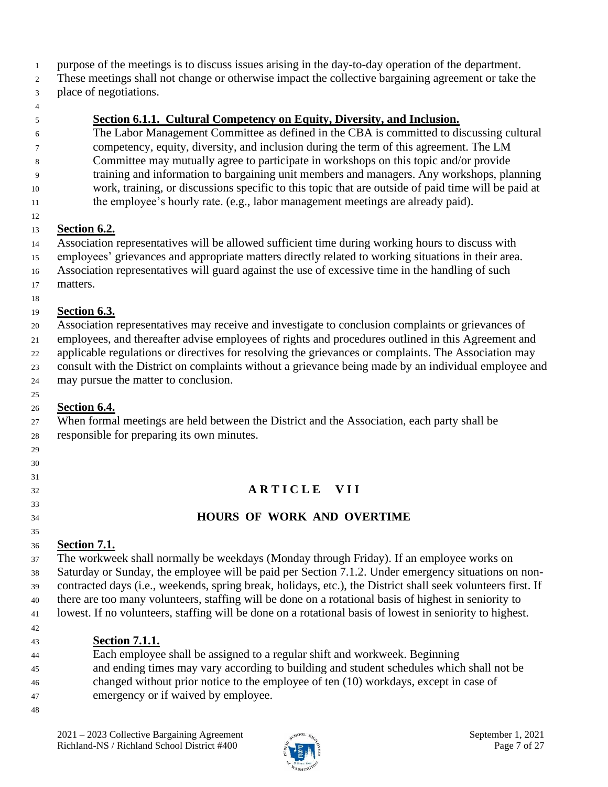- purpose of the meetings is to discuss issues arising in the day-to-day operation of the department.
- These meetings shall not change or otherwise impact the collective bargaining agreement or take the place of negotiations.
- 

#### **Section 6.1.1. Cultural Competency on Equity, Diversity, and Inclusion.**

- The Labor Management Committee as defined in the CBA is committed to discussing cultural competency, equity, diversity, and inclusion during the term of this agreement. The LM Committee may mutually agree to participate in workshops on this topic and/or provide training and information to bargaining unit members and managers. Any workshops, planning work, training, or discussions specific to this topic that are outside of paid time will be paid at the employee's hourly rate. (e.g., labor management meetings are already paid).
- 

#### **Section 6.2.**

- Association representatives will be allowed sufficient time during working hours to discuss with
- employees' grievances and appropriate matters directly related to working situations in their area.
- Association representatives will guard against the use of excessive time in the handling of such
- matters.

#### **Section 6.3.**

- Association representatives may receive and investigate to conclusion complaints or grievances of
- employees, and thereafter advise employees of rights and procedures outlined in this Agreement and
- applicable regulations or directives for resolving the grievances or complaints. The Association may
- consult with the District on complaints without a grievance being made by an individual employee and
- may pursue the matter to conclusion.

#### **Section 6.4.**

 When formal meetings are held between the District and the Association, each party shall be responsible for preparing its own minutes. 

## **A R T I C L E V I I**

## **HOURS OF WORK AND OVERTIME**

#### **Section 7.1.**

 The workweek shall normally be weekdays (Monday through Friday). If an employee works on Saturday or Sunday, the employee will be paid per Section 7.1.2. Under emergency situations on non- contracted days (i.e., weekends, spring break, holidays, etc.), the District shall seek volunteers first. If there are too many volunteers, staffing will be done on a rotational basis of highest in seniority to lowest. If no volunteers, staffing will be done on a rotational basis of lowest in seniority to highest. 

## **Section 7.1.1.**

- Each employee shall be assigned to a regular shift and workweek. Beginning
- and ending times may vary according to building and student schedules which shall not be
- changed without prior notice to the employee of ten (10) workdays, except in case of
- emergency or if waived by employee.
- 

 

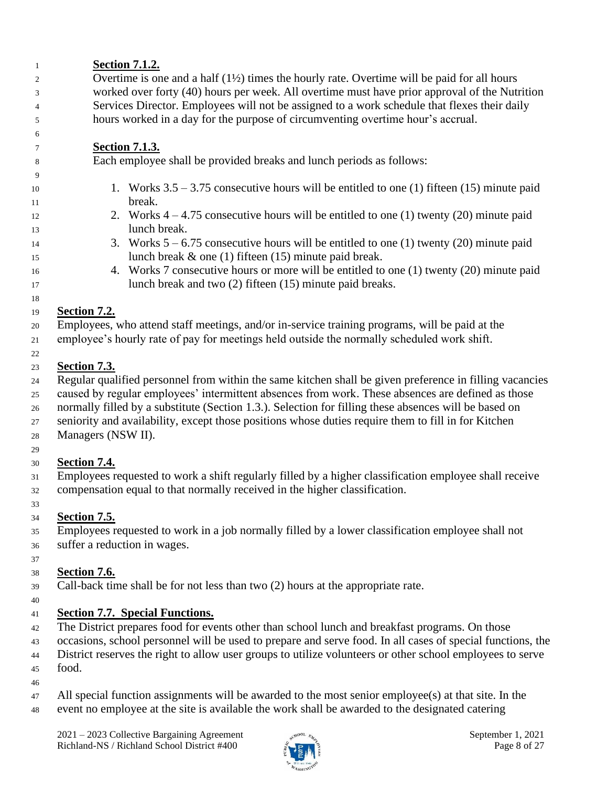| $\mathbf{1}$ | <b>Section 7.1.2.</b>                                                                                   |
|--------------|---------------------------------------------------------------------------------------------------------|
| 2            | Overtime is one and a half $(1\frac{1}{2})$ times the hourly rate. Overtime will be paid for all hours  |
| 3            | worked over forty (40) hours per week. All overtime must have prior approval of the Nutrition           |
| 4            | Services Director. Employees will not be assigned to a work schedule that flexes their daily            |
| 5            | hours worked in a day for the purpose of circumventing overtime hour's accrual.                         |
| 6            |                                                                                                         |
| 7            | <b>Section 7.1.3.</b>                                                                                   |
| 8            | Each employee shall be provided breaks and lunch periods as follows:                                    |
| 9            |                                                                                                         |
| 10           | 1. Works $3.5 - 3.75$ consecutive hours will be entitled to one (1) fifteen (15) minute paid            |
| 11           | break.                                                                                                  |
| 12           | 2. Works $4 - 4.75$ consecutive hours will be entitled to one (1) twenty (20) minute paid               |
| 13           | lunch break.                                                                                            |
| 14           | 3. Works $5 - 6.75$ consecutive hours will be entitled to one (1) twenty (20) minute paid               |
|              | lunch break $\&$ one (1) fifteen (15) minute paid break.                                                |
| 15<br>16     | 4. Works 7 consecutive hours or more will be entitled to one (1) twenty (20) minute paid                |
| 17           | lunch break and two (2) fifteen (15) minute paid breaks.                                                |
|              |                                                                                                         |
| 18           | <b>Section 7.2.</b>                                                                                     |
| 19           | Employees, who attend staff meetings, and/or in-service training programs, will be paid at the          |
| 20           | employee's hourly rate of pay for meetings held outside the normally scheduled work shift.              |
| 21           |                                                                                                         |
| 22           |                                                                                                         |
| 23           | <b>Section 7.3.</b>                                                                                     |
| 24           | Regular qualified personnel from within the same kitchen shall be given preference in filling vacancies |
| 25           | caused by regular employees' intermittent absences from work. These absences are defined as those       |
| $26\,$       | normally filled by a substitute (Section 1.3.). Selection for filling these absences will be based on   |
| 27           | seniority and availability, except those positions whose duties require them to fill in for Kitchen     |
| 28           | Managers (NSW II).                                                                                      |
| 29           |                                                                                                         |
| 30           | <b>Section 7.4.</b>                                                                                     |
| 31           | Employees requested to work a shift regularly filled by a higher classification employee shall receive  |
| 32           | compensation equal to that normally received in the higher classification.                              |
| 33           |                                                                                                         |
| 34           | <b>Section 7.5.</b>                                                                                     |
| 35           | Employees requested to work in a job normally filled by a lower classification employee shall not       |
| 36           | suffer a reduction in wages.                                                                            |
| 37           |                                                                                                         |
| 38           | <b>Section 7.6.</b>                                                                                     |
| 39           | Call-back time shall be for not less than two $(2)$ hours at the appropriate rate.                      |
| 40           |                                                                                                         |

## **Section 7.7. Special Functions.**

<sup>42</sup> The District prepares food for events other than school lunch and breakfast programs. On those

 occasions, school personnel will be used to prepare and serve food. In all cases of special functions, the District reserves the right to allow user groups to utilize volunteers or other school employees to serve food.

- 
- 
- All special function assignments will be awarded to the most senior employee(s) at that site. In the event no employee at the site is available the work shall be awarded to the designated catering

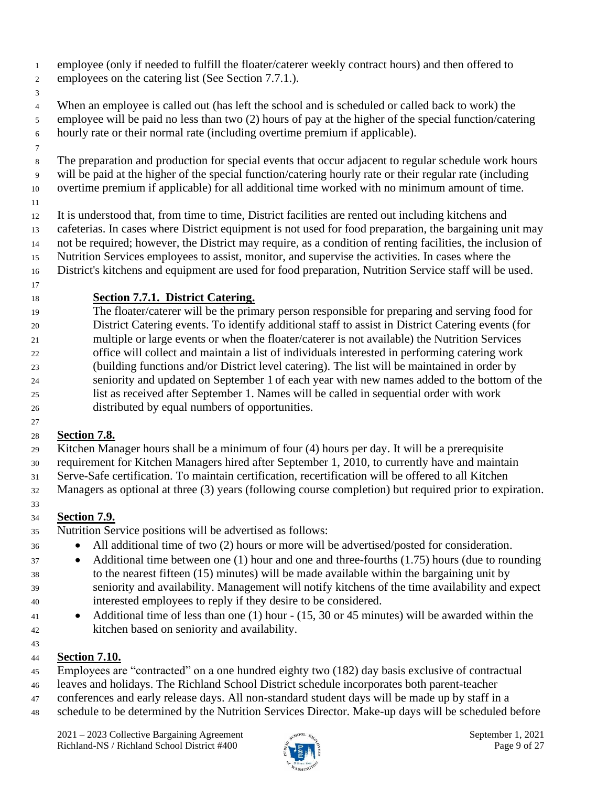- employee (only if needed to fulfill the floater/caterer weekly contract hours) and then offered to employees on the catering list (See Section 7.7.1.).
- 

 When an employee is called out (has left the school and is scheduled or called back to work) the employee will be paid no less than two (2) hours of pay at the higher of the special function/catering hourly rate or their normal rate (including overtime premium if applicable).

- 
- The preparation and production for special events that occur adjacent to regular schedule work hours will be paid at the higher of the special function/catering hourly rate or their regular rate (including overtime premium if applicable) for all additional time worked with no minimum amount of time.
- 

 It is understood that, from time to time, District facilities are rented out including kitchens and cafeterias. In cases where District equipment is not used for food preparation, the bargaining unit may not be required; however, the District may require, as a condition of renting facilities, the inclusion of Nutrition Services employees to assist, monitor, and supervise the activities. In cases where the

- District's kitchens and equipment are used for food preparation, Nutrition Service staff will be used.
- 

### **Section 7.7.1. District Catering.**

 The floater/caterer will be the primary person responsible for preparing and serving food for District Catering events. To identify additional staff to assist in District Catering events (for multiple or large events or when the floater/caterer is not available) the Nutrition Services office will collect and maintain a list of individuals interested in performing catering work (building functions and/or District level catering). The list will be maintained in order by seniority and updated on September 1 of each year with new names added to the bottom of the list as received after September 1. Names will be called in sequential order with work distributed by equal numbers of opportunities.

## **Section 7.8.**

 Kitchen Manager hours shall be a minimum of four (4) hours per day. It will be a prerequisite requirement for Kitchen Managers hired after September 1, 2010, to currently have and maintain

Serve-Safe certification. To maintain certification, recertification will be offered to all Kitchen

Managers as optional at three (3) years (following course completion) but required prior to expiration.

#### **Section 7.9.**

- Nutrition Service positions will be advertised as follows:
- <sup>36</sup> All additional time of two (2) hours or more will be advertised/posted for consideration.
- <sup>37</sup> Additional time between one (1) hour and one and three-fourths (1.75) hours (due to rounding to the nearest fifteen (15) minutes) will be made available within the bargaining unit by seniority and availability. Management will notify kitchens of the time availability and expect interested employees to reply if they desire to be considered.
- Additional time of less than one (1) hour (15, 30 or 45 minutes) will be awarded within the kitchen based on seniority and availability.

#### **Section 7.10.**

- Employees are "contracted" on a one hundred eighty two (182) day basis exclusive of contractual
- leaves and holidays. The Richland School District schedule incorporates both parent-teacher
- conferences and early release days. All non-standard student days will be made up by staff in a
- schedule to be determined by the Nutrition Services Director. Make-up days will be scheduled before

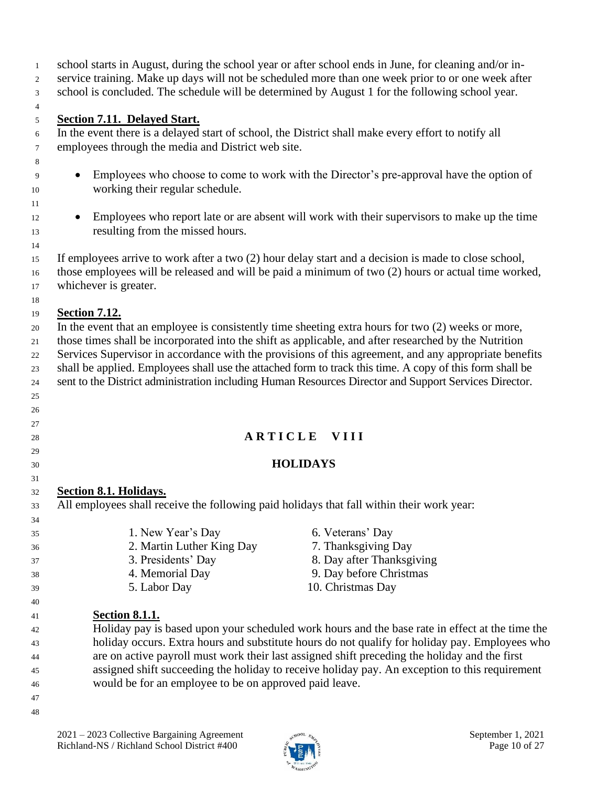school starts in August, during the school year or after school ends in June, for cleaning and/or in- service training. Make up days will not be scheduled more than one week prior to or one week after school is concluded. The schedule will be determined by August 1 for the following school year.

#### **Section 7.11. Delayed Start.**

 In the event there is a delayed start of school, the District shall make every effort to notify all employees through the media and District web site.

- Employees who choose to come to work with the Director's pre-approval have the option of working their regular schedule.
- <sup>12</sup> Employees who report late or are absent will work with their supervisors to make up the time resulting from the missed hours.

 If employees arrive to work after a two (2) hour delay start and a decision is made to close school, those employees will be released and will be paid a minimum of two (2) hours or actual time worked, whichever is greater.

 

#### **Section 7.12.**

In the event that an employee is consistently time sheeting extra hours for two (2) weeks or more,

those times shall be incorporated into the shift as applicable, and after researched by the Nutrition

Services Supervisor in accordance with the provisions of this agreement, and any appropriate benefits

shall be applied. Employees shall use the attached form to track this time. A copy of this form shall be

sent to the District administration including Human Resources Director and Support Services Director.

### **A R T I C L E** V I I I

### **HOLIDAYS**

### **Section 8.1. Holidays.**

All employees shall receive the following paid holidays that fall within their work year:

 1. New Year's Day 6. Veterans' Day 2. Martin Luther King Day 7. Thanksgiving Day 3. Presidents' Day 8. Day after Thanksgiving 4. Memorial Day 9. Day before Christmas 5. Labor Day 10. Christmas Day **Section 8.1.1.**

- Holiday pay is based upon your scheduled work hours and the base rate in effect at the time the holiday occurs. Extra hours and substitute hours do not qualify for holiday pay. Employees who are on active payroll must work their last assigned shift preceding the holiday and the first assigned shift succeeding the holiday to receive holiday pay. An exception to this requirement would be for an employee to be on approved paid leave.
- 

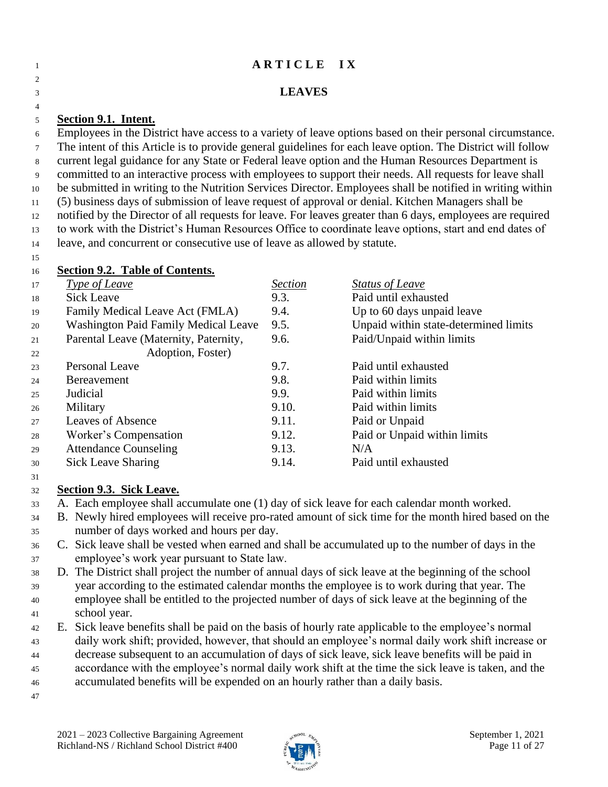## **A R T I C L E I X LEAVES Section 9.1. Intent.** Employees in the District have access to a variety of leave options based on their personal circumstance. The intent of this Article is to provide general guidelines for each leave option. The District will follow current legal guidance for any State or Federal leave option and the Human Resources Department is committed to an interactive process with employees to support their needs. All requests for leave shall be submitted in writing to the Nutrition Services Director. Employees shall be notified in writing within

 (5) business days of submission of leave request of approval or denial. Kitchen Managers shall be notified by the Director of all requests for leave. For leaves greater than 6 days, employees are required to work with the District's Human Resources Office to coordinate leave options, start and end dates of leave, and concurrent or consecutive use of leave as allowed by statute.

#### **Section 9.2. Table of Contents.**

| 17 | Type of Leave                         | <b>Section</b> | <b>Status of Leave</b>                |
|----|---------------------------------------|----------------|---------------------------------------|
| 18 | <b>Sick Leave</b>                     | 9.3.           | Paid until exhausted                  |
| 19 | Family Medical Leave Act (FMLA)       | 9.4.           | Up to 60 days unpaid leave            |
| 20 | Washington Paid Family Medical Leave  | 9.5.           | Unpaid within state-determined limits |
| 21 | Parental Leave (Maternity, Paternity, | 9.6.           | Paid/Unpaid within limits             |
| 22 | Adoption, Foster)                     |                |                                       |
| 23 | Personal Leave                        | 9.7.           | Paid until exhausted                  |
| 24 | <b>Bereavement</b>                    | 9.8.           | Paid within limits                    |
| 25 | Judicial                              | 9.9.           | Paid within limits                    |
| 26 | Military                              | 9.10.          | Paid within limits                    |
| 27 | <b>Leaves of Absence</b>              | 9.11.          | Paid or Unpaid                        |
| 28 | Worker's Compensation                 | 9.12.          | Paid or Unpaid within limits          |
| 29 | <b>Attendance Counseling</b>          | 9.13.          | N/A                                   |
| 30 | <b>Sick Leave Sharing</b>             | 9.14.          | Paid until exhausted                  |

#### **Section 9.3. Sick Leave.**

- A. Each employee shall accumulate one (1) day of sick leave for each calendar month worked.
- B. Newly hired employees will receive pro-rated amount of sick time for the month hired based on the number of days worked and hours per day.
- C. Sick leave shall be vested when earned and shall be accumulated up to the number of days in the employee's work year pursuant to State law.
- D. The District shall project the number of annual days of sick leave at the beginning of the school year according to the estimated calendar months the employee is to work during that year. The employee shall be entitled to the projected number of days of sick leave at the beginning of the school year.
- E. Sick leave benefits shall be paid on the basis of hourly rate applicable to the employee's normal
- daily work shift; provided, however, that should an employee's normal daily work shift increase or
- decrease subsequent to an accumulation of days of sick leave, sick leave benefits will be paid in
- accordance with the employee's normal daily work shift at the time the sick leave is taken, and the
- accumulated benefits will be expended on an hourly rather than a daily basis.
	- 2021 2023 Collective Bargaining Agreement September 1, 2021 Richland-NS / Richland School District #400 Page 11 of 27

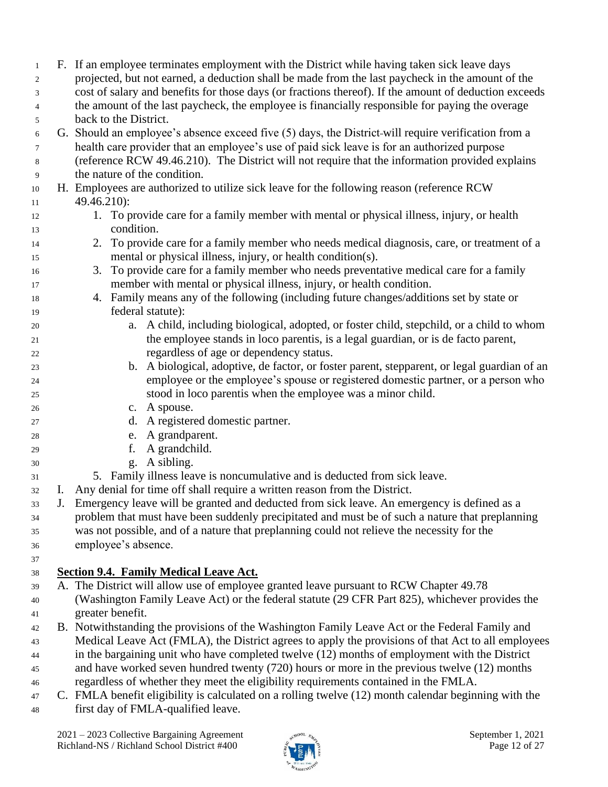| 1              |    | F. If an employee terminates employment with the District while having taken sick leave days          |  |  |
|----------------|----|-------------------------------------------------------------------------------------------------------|--|--|
| $\overline{c}$ |    | projected, but not earned, a deduction shall be made from the last paycheck in the amount of the      |  |  |
| 3              |    | cost of salary and benefits for those days (or fractions thereof). If the amount of deduction exceeds |  |  |
| 4              |    | the amount of the last paycheck, the employee is financially responsible for paying the overage       |  |  |
| 5              |    | back to the District.                                                                                 |  |  |
| 6              |    | G. Should an employee's absence exceed five (5) days, the District-will require verification from a   |  |  |
| $\tau$         |    | health care provider that an employee's use of paid sick leave is for an authorized purpose           |  |  |
| 8              |    | (reference RCW 49.46.210). The District will not require that the information provided explains       |  |  |
| 9              |    | the nature of the condition.                                                                          |  |  |
| 10             |    | H. Employees are authorized to utilize sick leave for the following reason (reference RCW)            |  |  |
| 11             |    | 49.46.210):                                                                                           |  |  |
| 12             |    | 1. To provide care for a family member with mental or physical illness, injury, or health             |  |  |
| 13             |    | condition.                                                                                            |  |  |
| 14             |    | To provide care for a family member who needs medical diagnosis, care, or treatment of a<br>2.        |  |  |
| 15             |    | mental or physical illness, injury, or health condition(s).                                           |  |  |
| 16             |    | To provide care for a family member who needs preventative medical care for a family<br>3.            |  |  |
| 17             |    | member with mental or physical illness, injury, or health condition.                                  |  |  |
| 18             |    | 4. Family means any of the following (including future changes/additions set by state or              |  |  |
| 19             |    | federal statute):                                                                                     |  |  |
| 20             |    | a. A child, including biological, adopted, or foster child, stepchild, or a child to whom             |  |  |
| 21             |    | the employee stands in loco parentis, is a legal guardian, or is de facto parent,                     |  |  |
| 22             |    | regardless of age or dependency status.                                                               |  |  |
| 23             |    | b. A biological, adoptive, de factor, or foster parent, stepparent, or legal guardian of an           |  |  |
| 24             |    | employee or the employee's spouse or registered domestic partner, or a person who                     |  |  |
| 25             |    | stood in loco parentis when the employee was a minor child.                                           |  |  |
| 26             |    | c. A spouse.                                                                                          |  |  |
| 27             |    | d. A registered domestic partner.                                                                     |  |  |
| 28             |    | e. A grandparent.                                                                                     |  |  |
| 29             |    | A grandchild.<br>f.                                                                                   |  |  |
| 30             |    | g. A sibling.                                                                                         |  |  |
| 31             |    | 5. Family illness leave is noncumulative and is deducted from sick leave.                             |  |  |
| 32             | I. | Any denial for time off shall require a written reason from the District.                             |  |  |
| 33             | J. | Emergency leave will be granted and deducted from sick leave. An emergency is defined as a            |  |  |
| 34             |    | problem that must have been suddenly precipitated and must be of such a nature that preplanning       |  |  |
| 35             |    | was not possible, and of a nature that preplanning could not relieve the necessity for the            |  |  |
| 36             |    | employee's absence.                                                                                   |  |  |
| 37             |    |                                                                                                       |  |  |
| 38             |    | <b>Section 9.4. Family Medical Leave Act.</b>                                                         |  |  |
| 39             |    | A. The District will allow use of employee granted leave pursuant to RCW Chapter 49.78                |  |  |
| 40             |    | (Washington Family Leave Act) or the federal statute (29 CFR Part 825), whichever provides the        |  |  |
| 41             |    | greater benefit.                                                                                      |  |  |
| 42             |    | B. Notwithstanding the provisions of the Washington Family Leave Act or the Federal Family and        |  |  |
| 43             |    | Medical Leave Act (FMLA), the District agrees to apply the provisions of that Act to all employees    |  |  |
| 44             |    | in the bargaining unit who have completed twelve (12) months of employment with the District          |  |  |
| 45             |    | and have worked seven hundred twenty (720) hours or more in the previous twelve (12) months           |  |  |
| 46             |    | regardless of whether they meet the eligibility requirements contained in the FMLA.                   |  |  |
| 47             |    | C. FMLA benefit eligibility is calculated on a rolling twelve (12) month calendar beginning with the  |  |  |
| 48             |    | first day of FMLA-qualified leave.                                                                    |  |  |
|                |    |                                                                                                       |  |  |

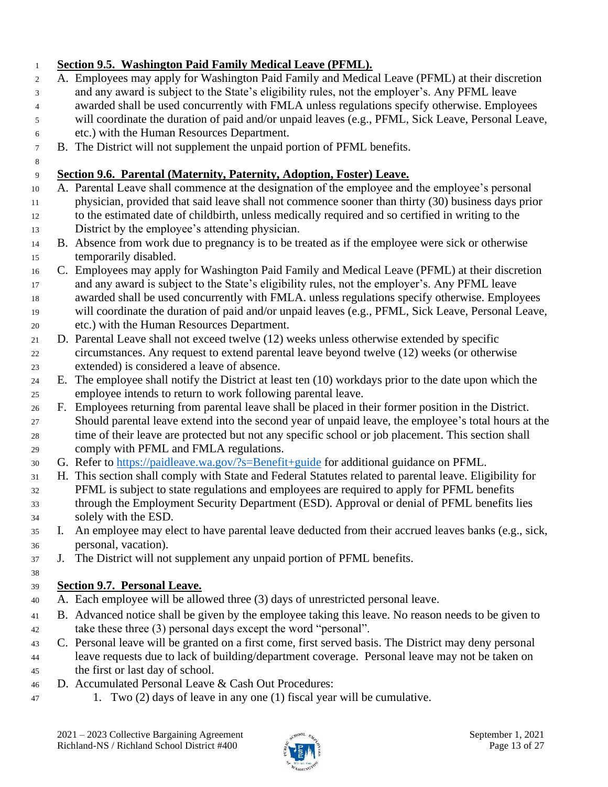#### **Section 9.5. Washington Paid Family Medical Leave (PFML).** A. Employees may apply for Washington Paid Family and Medical Leave (PFML) at their discretion and any award is subject to the State's eligibility rules, not the employer's. Any PFML leave awarded shall be used concurrently with FMLA unless regulations specify otherwise. Employees will coordinate the duration of paid and/or unpaid leaves (e.g., PFML, Sick Leave, Personal Leave, etc.) with the Human Resources Department. B. The District will not supplement the unpaid portion of PFML benefits. **Section 9.6. Parental (Maternity, Paternity, Adoption, Foster) Leave.** A. Parental Leave shall commence at the designation of the employee and the employee's personal physician, provided that said leave shall not commence sooner than thirty (30) business days prior to the estimated date of childbirth, unless medically required and so certified in writing to the District by the employee's attending physician. B. Absence from work due to pregnancy is to be treated as if the employee were sick or otherwise temporarily disabled. C. Employees may apply for Washington Paid Family and Medical Leave (PFML) at their discretion and any award is subject to the State's eligibility rules, not the employer's. Any PFML leave awarded shall be used concurrently with FMLA. unless regulations specify otherwise. Employees will coordinate the duration of paid and/or unpaid leaves (e.g., PFML, Sick Leave, Personal Leave, etc.) with the Human Resources Department. D. Parental Leave shall not exceed twelve (12) weeks unless otherwise extended by specific

- circumstances. Any request to extend parental leave beyond twelve (12) weeks (or otherwise extended) is considered a leave of absence.
- E. The employee shall notify the District at least ten (10) workdays prior to the date upon which the employee intends to return to work following parental leave.
- F. Employees returning from parental leave shall be placed in their former position in the District. Should parental leave extend into the second year of unpaid leave, the employee's total hours at the time of their leave are protected but not any specific school or job placement. This section shall comply with PFML and FMLA regulations.
- G. Refer to<https://paidleave.wa.gov/?s=Benefit+guide> for additional guidance on PFML.
- H. This section shall comply with State and Federal Statutes related to parental leave. Eligibility for PFML is subject to state regulations and employees are required to apply for PFML benefits through the Employment Security Department (ESD). Approval or denial of PFML benefits lies solely with the ESD.
- I. An employee may elect to have parental leave deducted from their accrued leaves banks (e.g., sick, personal, vacation).
- J. The District will not supplement any unpaid portion of PFML benefits.

#### **Section 9.7. Personal Leave.**

- A. Each employee will be allowed three (3) days of unrestricted personal leave.
- B. Advanced notice shall be given by the employee taking this leave. No reason needs to be given to take these three (3) personal days except the word "personal".
- C. Personal leave will be granted on a first come, first served basis. The District may deny personal leave requests due to lack of building/department coverage. Personal leave may not be taken on the first or last day of school.
- D. Accumulated Personal Leave & Cash Out Procedures:
- 1. Two (2) days of leave in any one (1) fiscal year will be cumulative.

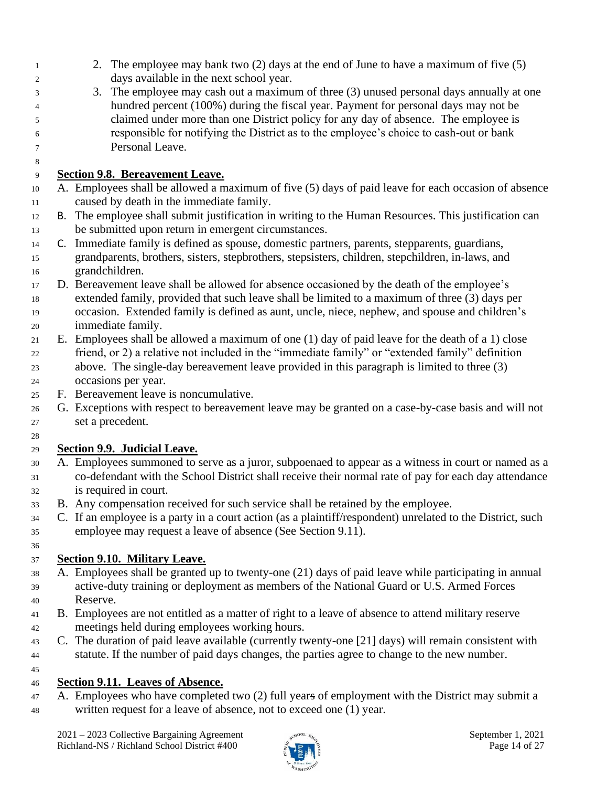- 2. The employee may bank two (2) days at the end of June to have a maximum of five (5) days available in the next school year.
- 3. The employee may cash out a maximum of three (3) unused personal days annually at one hundred percent (100%) during the fiscal year. Payment for personal days may not be claimed under more than one District policy for any day of absence. The employee is responsible for notifying the District as to the employee's choice to cash-out or bank Personal Leave.

#### **Section 9.8. Bereavement Leave.**

- A. Employees shall be allowed a maximum of five (5) days of paid leave for each occasion of absence caused by death in the immediate family.
- B. The employee shall submit justification in writing to the Human Resources. This justification can be submitted upon return in emergent circumstances.
- C. Immediate family is defined as spouse, domestic partners, parents, stepparents, guardians, grandparents, brothers, sisters, stepbrothers, stepsisters, children, stepchildren, in-laws, and grandchildren.
- D. Bereavement leave shall be allowed for absence occasioned by the death of the employee's extended family, provided that such leave shall be limited to a maximum of three (3) days per occasion. Extended family is defined as aunt, uncle, niece, nephew, and spouse and children's immediate family.
- E. Employees shall be allowed a maximum of one (1) day of paid leave for the death of a 1) close friend, or 2) a relative not included in the "immediate family" or "extended family" definition above. The single-day bereavement leave provided in this paragraph is limited to three (3) occasions per year.
- F. Bereavement leave is noncumulative.
- G. Exceptions with respect to bereavement leave may be granted on a case-by-case basis and will not set a precedent.

#### **Section 9.9. Judicial Leave.**

- A. Employees summoned to serve as a juror, subpoenaed to appear as a witness in court or named as a co-defendant with the School District shall receive their normal rate of pay for each day attendance is required in court.
- B. Any compensation received for such service shall be retained by the employee.
- C. If an employee is a party in a court action (as a plaintiff/respondent) unrelated to the District, such employee may request a leave of absence (See Section 9.11).
- 

## **Section 9.10. Military Leave.**

- A. Employees shall be granted up to twenty-one (21) days of paid leave while participating in annual active-duty training or deployment as members of the National Guard or U.S. Armed Forces Reserve.
- B. Employees are not entitled as a matter of right to a leave of absence to attend military reserve meetings held during employees working hours.
- C. The duration of paid leave available (currently twenty-one [21] days) will remain consistent with statute. If the number of paid days changes, the parties agree to change to the new number.

#### **Section 9.11. Leaves of Absence.**

 A. Employees who have completed two (2) full years of employment with the District may submit a written request for a leave of absence, not to exceed one (1) year.

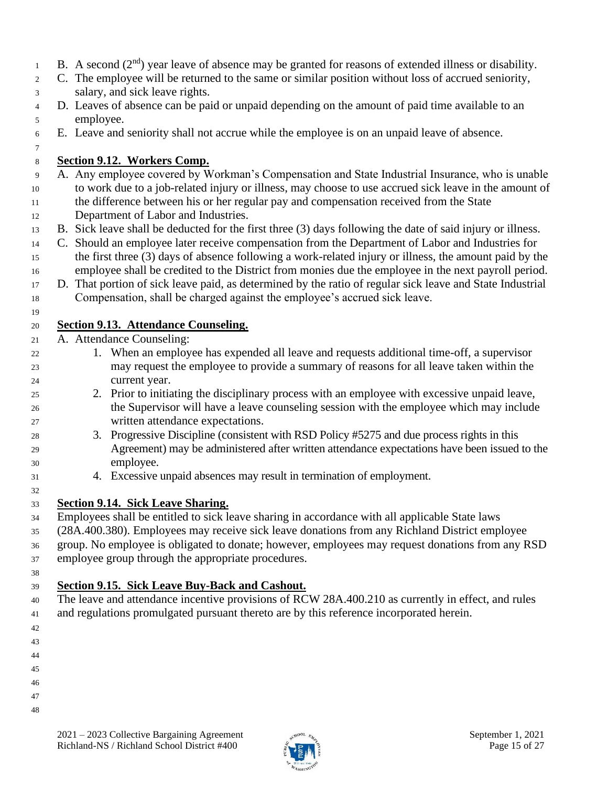- B. A second  $(2<sup>nd</sup>)$  year leave of absence may be granted for reasons of extended illness or disability.
- C. The employee will be returned to the same or similar position without loss of accrued seniority, salary, and sick leave rights.
- D. Leaves of absence can be paid or unpaid depending on the amount of paid time available to an employee.
- E. Leave and seniority shall not accrue while the employee is on an unpaid leave of absence.

## **Section 9.12. Workers Comp.**

- A. Any employee covered by Workman's Compensation and State Industrial Insurance, who is unable to work due to a job-related injury or illness, may choose to use accrued sick leave in the amount of
- the difference between his or her regular pay and compensation received from the State Department of Labor and Industries.
- B. Sick leave shall be deducted for the first three (3) days following the date of said injury or illness.
- C. Should an employee later receive compensation from the Department of Labor and Industries for the first three (3) days of absence following a work-related injury or illness, the amount paid by the
- employee shall be credited to the District from monies due the employee in the next payroll period.
- D. That portion of sick leave paid, as determined by the ratio of regular sick leave and State Industrial Compensation, shall be charged against the employee's accrued sick leave.

#### **Section 9.13. Attendance Counseling.**

- A. Attendance Counseling:
- 1. When an employee has expended all leave and requests additional time-off, a supervisor may request the employee to provide a summary of reasons for all leave taken within the current year.
- 2. Prior to initiating the disciplinary process with an employee with excessive unpaid leave, the Supervisor will have a leave counseling session with the employee which may include written attendance expectations.
- 3. Progressive Discipline (consistent with RSD Policy #5275 and due process rights in this Agreement) may be administered after written attendance expectations have been issued to the employee.
- 4. Excessive unpaid absences may result in termination of employment.

### **Section 9.14. Sick Leave Sharing.**

 Employees shall be entitled to sick leave sharing in accordance with all applicable State laws (28A.400.380). Employees may receive sick leave donations from any Richland District employee group. No employee is obligated to donate; however, employees may request donations from any RSD employee group through the appropriate procedures.

### **Section 9.15. Sick Leave Buy-Back and Cashout.**

 The leave and attendance incentive provisions of RCW 28A.400.210 as currently in effect, and rules and regulations promulgated pursuant thereto are by this reference incorporated herein.

- 
- 
- 
- 
- 



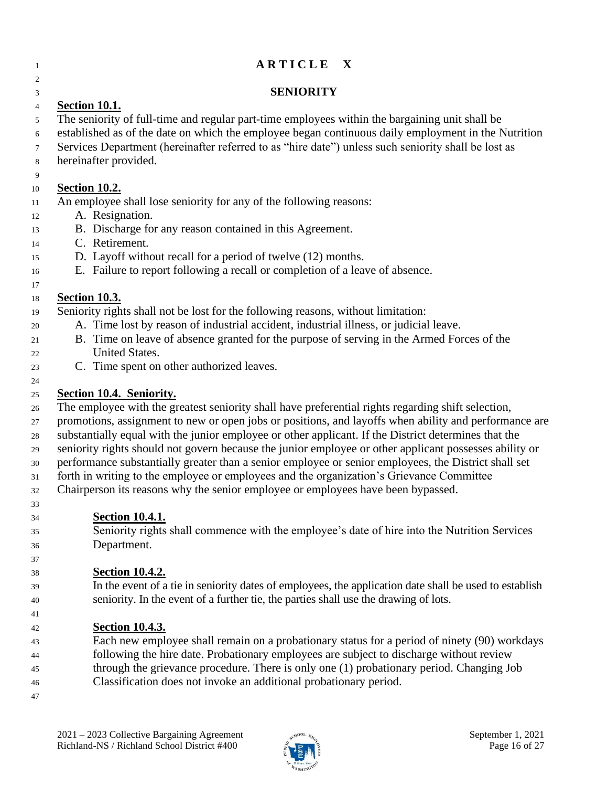## **A R T I C L E** X

#### **SENIORITY**

### **Section 10.1.**

- The seniority of full-time and regular part-time employees within the bargaining unit shall be
- established as of the date on which the employee began continuous daily employment in the Nutrition
- Services Department (hereinafter referred to as "hire date") unless such seniority shall be lost as
- hereinafter provided.

## **Section 10.2.**

- An employee shall lose seniority for any of the following reasons:
- A. Resignation.
- B. Discharge for any reason contained in this Agreement.
- C. Retirement.
- D. Layoff without recall for a period of twelve (12) months.
- E. Failure to report following a recall or completion of a leave of absence.
- 

 $\mathfrak{D}$ 

#### **Section 10.3.**

- Seniority rights shall not be lost for the following reasons, without limitation:
- A. Time lost by reason of industrial accident, industrial illness, or judicial leave.
- B. Time on leave of absence granted for the purpose of serving in the Armed Forces of the United States.
- C. Time spent on other authorized leaves.

## **Section 10.4. Seniority.**

- The employee with the greatest seniority shall have preferential rights regarding shift selection,
- promotions, assignment to new or open jobs or positions, and layoffs when ability and performance are
- substantially equal with the junior employee or other applicant. If the District determines that the
- seniority rights should not govern because the junior employee or other applicant possesses ability or
- performance substantially greater than a senior employee or senior employees, the District shall set
- forth in writing to the employee or employees and the organization's Grievance Committee
- Chairperson its reasons why the senior employee or employees have been bypassed.
- **Section 10.4.1.**

 Seniority rights shall commence with the employee's date of hire into the Nutrition Services Department.

#### **Section 10.4.2.**

 In the event of a tie in seniority dates of employees, the application date shall be used to establish seniority. In the event of a further tie, the parties shall use the drawing of lots.

## **Section 10.4.3.**

- Each new employee shall remain on a probationary status for a period of ninety (90) workdays following the hire date. Probationary employees are subject to discharge without review
- through the grievance procedure. There is only one (1) probationary period. Changing Job
- Classification does not invoke an additional probationary period.
- 

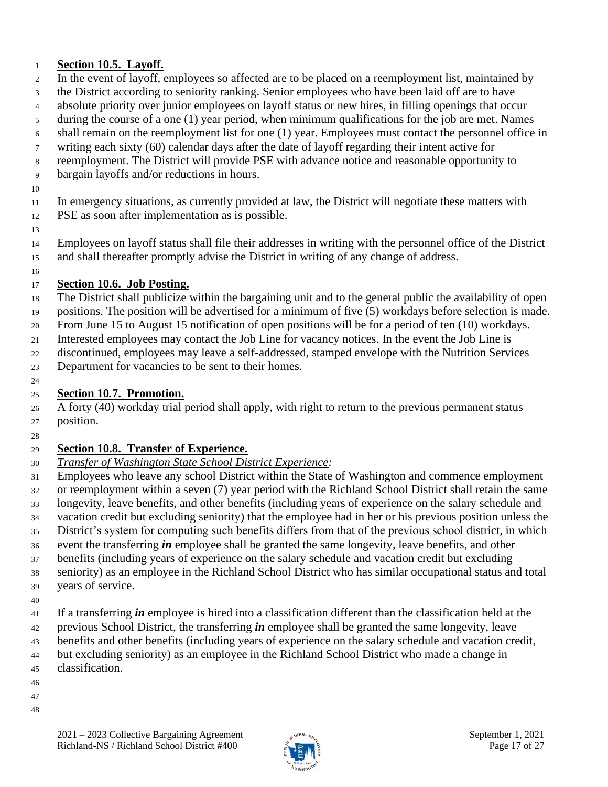#### **Section 10.5. Layoff.**

- In the event of layoff, employees so affected are to be placed on a reemployment list, maintained by
- the District according to seniority ranking. Senior employees who have been laid off are to have
- absolute priority over junior employees on layoff status or new hires, in filling openings that occur
- during the course of a one (1) year period, when minimum qualifications for the job are met. Names
- shall remain on the reemployment list for one (1) year. Employees must contact the personnel office in
- writing each sixty (60) calendar days after the date of layoff regarding their intent active for
- reemployment. The District will provide PSE with advance notice and reasonable opportunity to
- bargain layoffs and/or reductions in hours.
- 

In emergency situations, as currently provided at law, the District will negotiate these matters with

- PSE as soon after implementation as is possible.
- 

 Employees on layoff status shall file their addresses in writing with the personnel office of the District and shall thereafter promptly advise the District in writing of any change of address.

## **Section 10.6. Job Posting.**

- The District shall publicize within the bargaining unit and to the general public the availability of open
- positions. The position will be advertised for a minimum of five (5) workdays before selection is made.
- From June 15 to August 15 notification of open positions will be for a period of ten (10) workdays.
- Interested employees may contact the Job Line for vacancy notices. In the event the Job Line is
- discontinued, employees may leave a self-addressed, stamped envelope with the Nutrition Services
- Department for vacancies to be sent to their homes.

## **Section 10***.***7. Promotion.**

 A forty (40) workday trial period shall apply, with right to return to the previous permanent status position.

### **Section 10.8. Transfer of Experience.**

- *Transfer of Washington State School District Experience:*
- Employees who leave any school District within the State of Washington and commence employment or reemployment within a seven (7) year period with the Richland School District shall retain the same longevity, leave benefits, and other benefits (including years of experience on the salary schedule and vacation credit but excluding seniority) that the employee had in her or his previous position unless the District's system for computing such benefits differs from that of the previous school district, in which event the transferring *in* employee shall be granted the same longevity, leave benefits, and other benefits (including years of experience on the salary schedule and vacation credit but excluding
- seniority) as an employee in the Richland School District who has similar occupational status and total years of service.
- 
- If a transferring *in* employee is hired into a classification different than the classification held at the
- previous School District, the transferring *in* employee shall be granted the same longevity, leave
- benefits and other benefits (including years of experience on the salary schedule and vacation credit,
- but excluding seniority) as an employee in the Richland School District who made a change in
- classification.
- 
- 

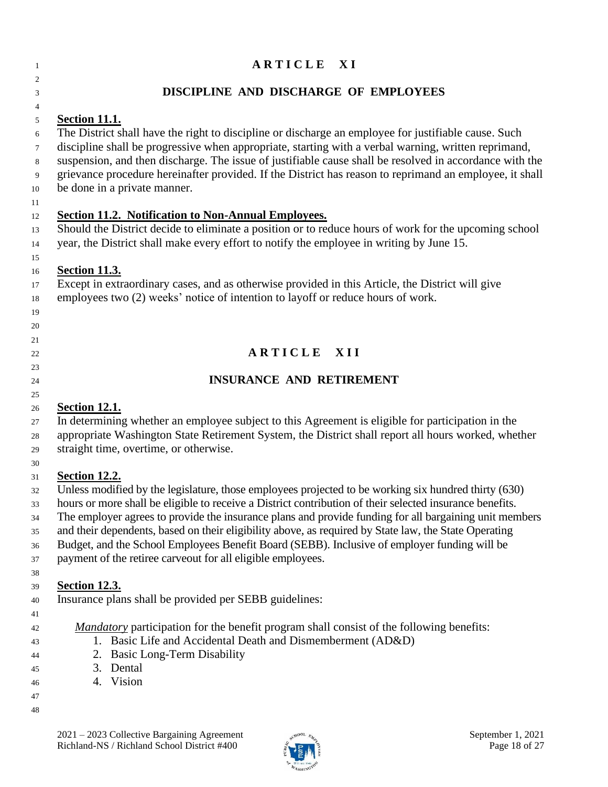| 1                                                              | ARTICLE XI                                                                                                                                                                                                                                                                                                                                                                                                                                                                                                                                                                                                                                                                                                                                             |
|----------------------------------------------------------------|--------------------------------------------------------------------------------------------------------------------------------------------------------------------------------------------------------------------------------------------------------------------------------------------------------------------------------------------------------------------------------------------------------------------------------------------------------------------------------------------------------------------------------------------------------------------------------------------------------------------------------------------------------------------------------------------------------------------------------------------------------|
| $\overline{c}$<br>3                                            | DISCIPLINE AND DISCHARGE OF EMPLOYEES                                                                                                                                                                                                                                                                                                                                                                                                                                                                                                                                                                                                                                                                                                                  |
| 4<br>5<br>6<br>$\tau$<br>8<br>9<br>10<br>11<br>12<br>13<br>14  | Section 11.1.<br>The District shall have the right to discipline or discharge an employee for justifiable cause. Such<br>discipline shall be progressive when appropriate, starting with a verbal warning, written reprimand,<br>suspension, and then discharge. The issue of justifiable cause shall be resolved in accordance with the<br>grievance procedure hereinafter provided. If the District has reason to reprimand an employee, it shall<br>be done in a private manner.<br><b>Section 11.2. Notification to Non-Annual Employees.</b><br>Should the District decide to eliminate a position or to reduce hours of work for the upcoming school<br>year, the District shall make every effort to notify the employee in writing by June 15. |
| 15<br>16<br>17<br>18<br>19<br>20                               | <b>Section 11.3.</b><br>Except in extraordinary cases, and as otherwise provided in this Article, the District will give<br>employees two (2) weeks' notice of intention to layoff or reduce hours of work.                                                                                                                                                                                                                                                                                                                                                                                                                                                                                                                                            |
| 21<br>22<br>23<br>24<br>25                                     | ARTICLE XII<br><b>INSURANCE AND RETIREMENT</b>                                                                                                                                                                                                                                                                                                                                                                                                                                                                                                                                                                                                                                                                                                         |
| 26<br>27<br>28<br>29                                           | <b>Section 12.1.</b><br>In determining whether an employee subject to this Agreement is eligible for participation in the<br>appropriate Washington State Retirement System, the District shall report all hours worked, whether<br>straight time, overtime, or otherwise.                                                                                                                                                                                                                                                                                                                                                                                                                                                                             |
| 30<br>31<br>32<br>33<br>34<br>35<br>36<br>37                   | <b>Section 12.2.</b><br>Unless modified by the legislature, those employees projected to be working six hundred thirty (630)<br>hours or more shall be eligible to receive a District contribution of their selected insurance benefits.<br>The employer agrees to provide the insurance plans and provide funding for all bargaining unit members<br>and their dependents, based on their eligibility above, as required by State law, the State Operating<br>Budget, and the School Employees Benefit Board (SEBB). Inclusive of employer funding will be<br>payment of the retiree carveout for all eligible employees.                                                                                                                             |
| 38<br>39<br>40<br>41<br>42<br>43<br>44<br>45<br>46<br>47<br>48 | <b>Section 12.3.</b><br>Insurance plans shall be provided per SEBB guidelines:<br><i>Mandatory</i> participation for the benefit program shall consist of the following benefits:<br>1. Basic Life and Accidental Death and Dismemberment (AD&D)<br><b>Basic Long-Term Disability</b><br>2.<br>Dental<br>3.<br>4. Vision                                                                                                                                                                                                                                                                                                                                                                                                                               |

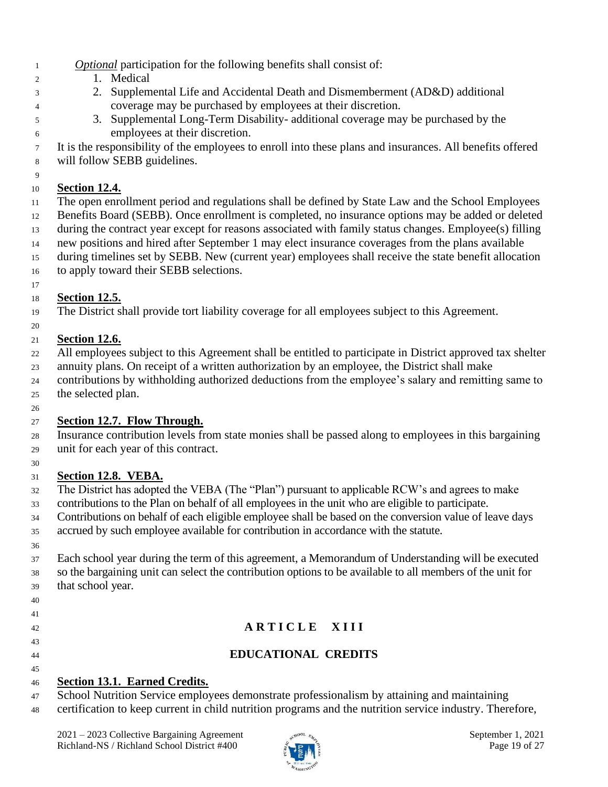- *Optional* participation for the following benefits shall consist of:
- 1. Medical
- 2. Supplemental Life and Accidental Death and Dismemberment (AD&D) additional coverage may be purchased by employees at their discretion.
- 3. Supplemental Long-Term Disability- additional coverage may be purchased by the employees at their discretion.

 It is the responsibility of the employees to enroll into these plans and insurances. All benefits offered will follow SEBB guidelines.

## **Section 12.4.**

 The open enrollment period and regulations shall be defined by State Law and the School Employees Benefits Board (SEBB). Once enrollment is completed, no insurance options may be added or deleted during the contract year except for reasons associated with family status changes. Employee(s) filling

new positions and hired after September 1 may elect insurance coverages from the plans available

during timelines set by SEBB. New (current year) employees shall receive the state benefit allocation

to apply toward their SEBB selections.

## **Section 12.5.**

The District shall provide tort liability coverage for all employees subject to this Agreement.

## **Section 12.6.**

- All employees subject to this Agreement shall be entitled to participate in District approved tax shelter
- annuity plans. On receipt of a written authorization by an employee, the District shall make
- contributions by withholding authorized deductions from the employee's salary and remitting same to the selected plan.

#### **Section 12.7. Flow Through.**

 Insurance contribution levels from state monies shall be passed along to employees in this bargaining unit for each year of this contract.

#### **Section 12.8. VEBA.**

- <sup>32</sup> The District has adopted the VEBA (The "Plan") pursuant to applicable RCW's and agrees to make
- contributions to the Plan on behalf of all employees in the unit who are eligible to participate.
- Contributions on behalf of each eligible employee shall be based on the conversion value of leave days accrued by such employee available for contribution in accordance with the statute.
- 

 

 Each school year during the term of this agreement, a Memorandum of Understanding will be executed so the bargaining unit can select the contribution options to be available to all members of the unit for that school year.

## **A R T I C L E X I I I**

## **EDUCATIONAL CREDITS**

## **Section 13.1. Earned Credits.**

School Nutrition Service employees demonstrate professionalism by attaining and maintaining

certification to keep current in child nutrition programs and the nutrition service industry. Therefore,

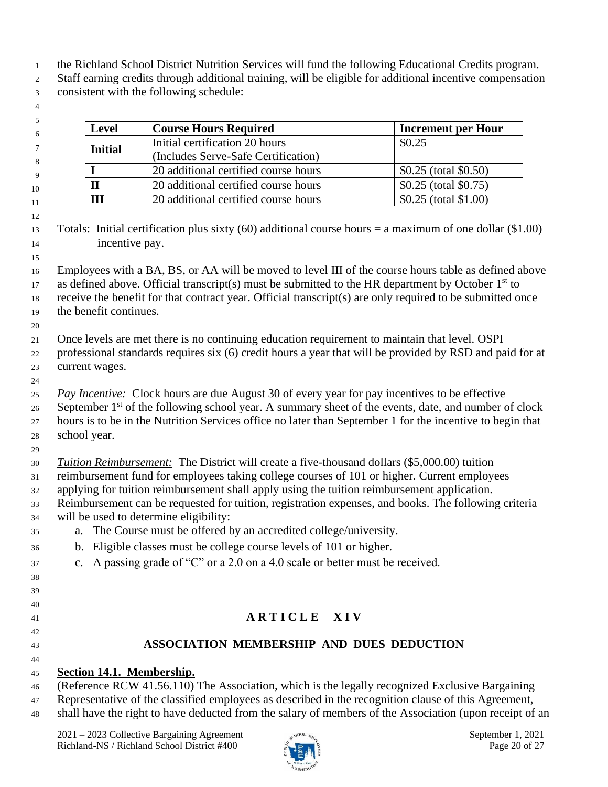- the Richland School District Nutrition Services will fund the following Educational Credits program.
- Staff earning credits through additional training, will be eligible for additional incentive compensation consistent with the following schedule:
- 

| <b>Level</b>                              | <b>Course Hours Required</b>        | <b>Increment per Hour</b> |
|-------------------------------------------|-------------------------------------|---------------------------|
|                                           | Initial certification 20 hours      | \$0.25                    |
| <b>Initial</b>                            | (Includes Serve-Safe Certification) |                           |
| 20 additional certified course hours      |                                     | $$0.25$ (total $$0.50$ )  |
| П<br>20 additional certified course hours |                                     | \$0.25 (total \$0.75)     |
| Ш<br>20 additional certified course hours |                                     | $$0.25$ (total \$1.00)    |

 Totals: Initial certification plus sixty (60) additional course hours = a maximum of one dollar (\$1.00) incentive pay. 

 Employees with a BA, BS, or AA will be moved to level III of the course hours table as defined above 17 as defined above. Official transcript(s) must be submitted to the HR department by October  $1<sup>st</sup>$  to receive the benefit for that contract year. Official transcript(s) are only required to be submitted once the benefit continues.

 Once levels are met there is no continuing education requirement to maintain that level. OSPI

- professional standards requires six (6) credit hours a year that will be provided by RSD and paid for at current wages.
- 

*Pay Incentive:* Clock hours are due August 30 of every year for pay incentives to be effective

- September 1<sup>st</sup> of the following school year. A summary sheet of the events, date, and number of clock hours is to be in the Nutrition Services office no later than September 1 for the incentive to begin that school year.
- 

*Tuition Reimbursement:*The District will create a five-thousand dollars (\$5,000.00) tuition

- reimbursement fund for employees taking college courses of 101 or higher. Current employees
- applying for tuition reimbursement shall apply using the tuition reimbursement application.
- Reimbursement can be requested for tuition, registration expenses, and books. The following criteria will be used to determine eligibility:
- a. The Course must be offered by an accredited college/university.
- b. Eligible classes must be college course levels of 101 or higher.
- c. A passing grade of "C" or a 2.0 on a 4.0 scale or better must be received.
- 
- 
- **A R T I C L E X I V**
- 
- 

## **ASSOCIATION MEMBERSHIP AND DUES DEDUCTION**

### 

### **Section 14.1. Membership.**

(Reference RCW 41.56.110) The Association, which is the legally recognized Exclusive Bargaining

Representative of the classified employees as described in the recognition clause of this Agreement,

shall have the right to have deducted from the salary of members of the Association (upon receipt of an

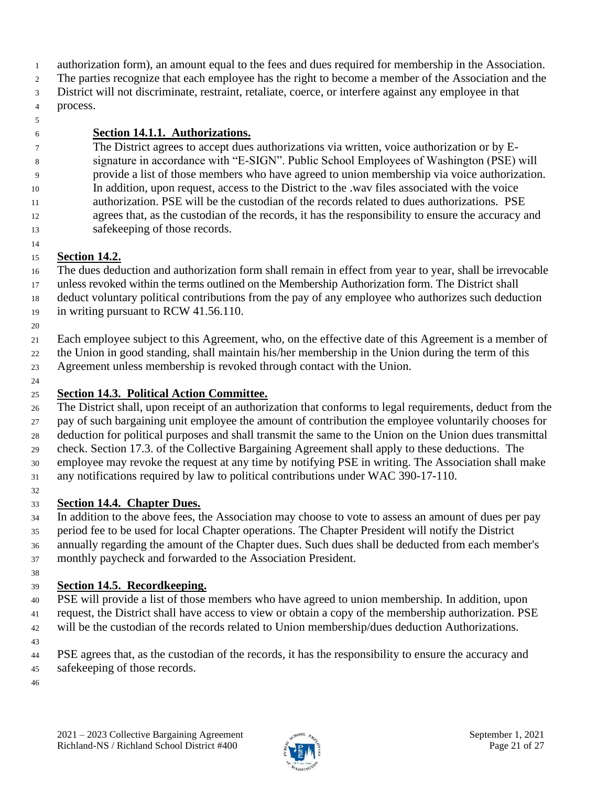- authorization form), an amount equal to the fees and dues required for membership in the Association.
- The parties recognize that each employee has the right to become a member of the Association and the
- District will not discriminate, restraint, retaliate, coerce, or interfere against any employee in that process.
- 

#### **Section 14.1.1. Authorizations.**

 The District agrees to accept dues authorizations via written, voice authorization or by E- signature in accordance with "E-SIGN". Public School Employees of Washington (PSE) will provide a list of those members who have agreed to union membership via voice authorization. In addition, upon request, access to the District to the .wav files associated with the voice authorization. PSE will be the custodian of the records related to dues authorizations. PSE agrees that, as the custodian of the records, it has the responsibility to ensure the accuracy and safekeeping of those records.

### **Section 14.2.**

 The dues deduction and authorization form shall remain in effect from year to year, shall be irrevocable unless revoked within the terms outlined on the Membership Authorization form. The District shall deduct voluntary political contributions from the pay of any employee who authorizes such deduction in writing pursuant to RCW 41.56.110.

Each employee subject to this Agreement, who, on the effective date of this Agreement is a member of

- the Union in good standing, shall maintain his/her membership in the Union during the term of this
- Agreement unless membership is revoked through contact with the Union.
- 

### **Section 14.3. Political Action Committee.**

 The District shall, upon receipt of an authorization that conforms to legal requirements, deduct from the pay of such bargaining unit employee the amount of contribution the employee voluntarily chooses for deduction for political purposes and shall transmit the same to the Union on the Union dues transmittal check. Section 17.3. of the Collective Bargaining Agreement shall apply to these deductions. The employee may revoke the request at any time by notifying PSE in writing. The Association shall make any notifications required by law to political contributions under WAC 390-17-110.

#### **Section 14.4. Chapter Dues.**

 In addition to the above fees, the Association may choose to vote to assess an amount of dues per pay period fee to be used for local Chapter operations. The Chapter President will notify the District annually regarding the amount of the Chapter dues. Such dues shall be deducted from each member's monthly paycheck and forwarded to the Association President.

#### **Section 14.5. Recordkeeping.**

 PSE will provide a list of those members who have agreed to union membership. In addition, upon request, the District shall have access to view or obtain a copy of the membership authorization. PSE will be the custodian of the records related to Union membership/dues deduction Authorizations.

PSE agrees that, as the custodian of the records, it has the responsibility to ensure the accuracy and

- safekeeping of those records.
- 

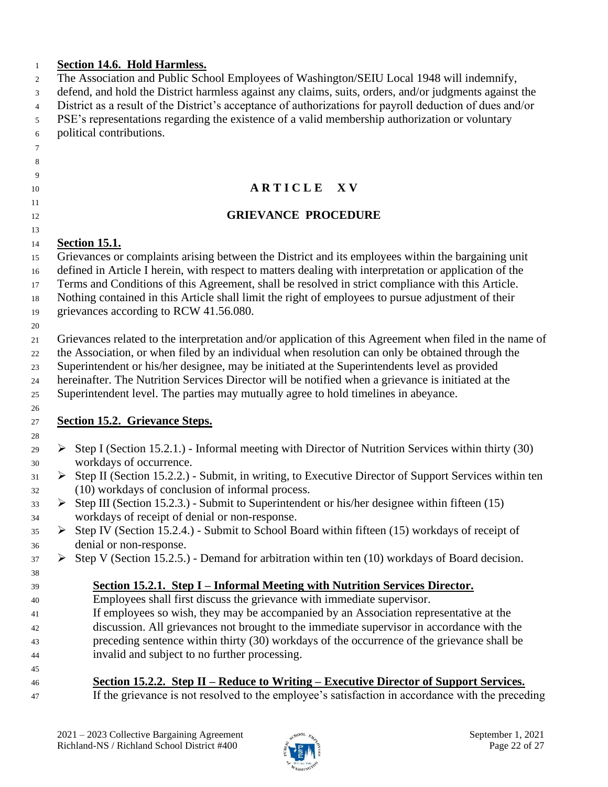#### **Section 14.6. Hold Harmless.**

| The Association and Public School Employees of Washington/SEIU Local 1948 will indemnify, |  |  |
|-------------------------------------------------------------------------------------------|--|--|
|                                                                                           |  |  |

defend, and hold the District harmless against any claims, suits, orders, and/or judgments against the

District as a result of the District's acceptance of authorizations for payroll deduction of dues and/or

#### PSE's representations regarding the existence of a valid membership authorization or voluntary political contributions.

- 
- 
- 
- 

# 

#### **A R T I C L E X V**

#### **GRIEVANCE PROCEDURE**

#### **Section 15.1.**

Grievances or complaints arising between the District and its employees within the bargaining unit

defined in Article I herein, with respect to matters dealing with interpretation or application of the

Terms and Conditions of this Agreement, shall be resolved in strict compliance with this Article.

Nothing contained in this Article shall limit the right of employees to pursue adjustment of their

grievances according to RCW 41.56.080.

Grievances related to the interpretation and/or application of this Agreement when filed in the name of

the Association, or when filed by an individual when resolution can only be obtained through the

Superintendent or his/her designee, may be initiated at the Superintendents level as provided

hereinafter. The Nutrition Services Director will be notified when a grievance is initiated at the

Superintendent level. The parties may mutually agree to hold timelines in abeyance.

#### **Section 15.2. Grievance Steps.**

- $\geq 29$   $\geq 29$  Step I (Section 15.2.1.) Informal meeting with Director of Nutrition Services within thirty (30) workdays of occurrence.
- $31 \rightarrow$  Step II (Section 15.2.2.) Submit, in writing, to Executive Director of Support Services within ten (10) workdays of conclusion of informal process.
- $\Rightarrow$  Step III (Section 15.2.3.) Submit to Superintendent or his/her designee within fifteen (15) workdays of receipt of denial or non-response.
- $35 \rightarrow$  Step IV (Section 15.2.4.) Submit to School Board within fifteen (15) workdays of receipt of denial or non-response.
- $37 \rightarrow$  Step V (Section 15.2.5.) Demand for arbitration within ten (10) workdays of Board decision.

#### **Section 15.2.1. Step I – Informal Meeting with Nutrition Services Director.**

- Employees shall first discuss the grievance with immediate supervisor.
- If employees so wish, they may be accompanied by an Association representative at the
- discussion. All grievances not brought to the immediate supervisor in accordance with the
- preceding sentence within thirty (30) workdays of the occurrence of the grievance shall be

invalid and subject to no further processing.

| 45 |                                                                                                  |
|----|--------------------------------------------------------------------------------------------------|
| 46 | Section 15.2.2. Step II – Reduce to Writing – Executive Director of Support Services.            |
| 47 | If the grievance is not resolved to the employee's satisfaction in accordance with the preceding |

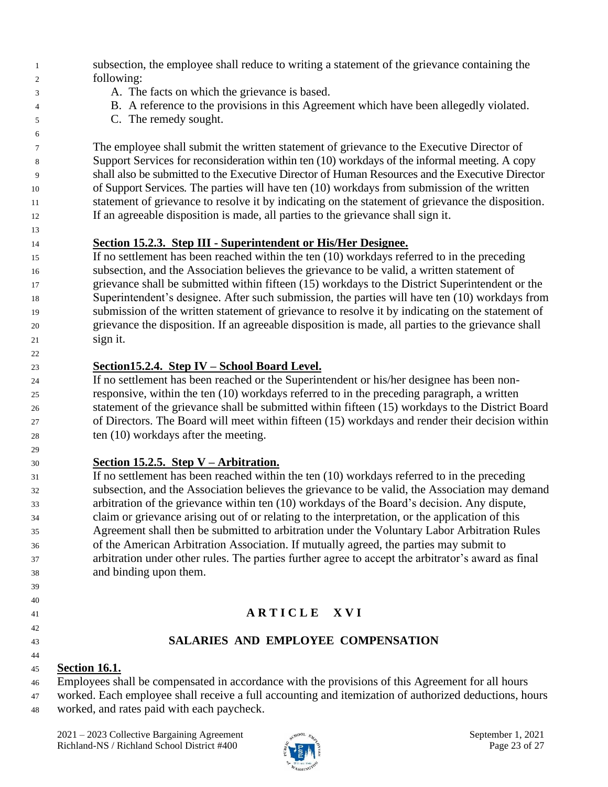- subsection, the employee shall reduce to writing a statement of the grievance containing the following:
- A. The facts on which the grievance is based.
- B. A reference to the provisions in this Agreement which have been allegedly violated.
- C. The remedy sought.

 The employee shall submit the written statement of grievance to the Executive Director of Support Services for reconsideration within ten (10) workdays of the informal meeting. A copy shall also be submitted to the Executive Director of Human Resources and the Executive Director of Support Services*.* The parties will have ten (10) workdays from submission of the written statement of grievance to resolve it by indicating on the statement of grievance the disposition. If an agreeable disposition is made, all parties to the grievance shall sign it.

**Section 15.2.3. Step III - Superintendent or His/Her Designee.**

 If no settlement has been reached within the ten (10) workdays referred to in the preceding subsection, and the Association believes the grievance to be valid, a written statement of grievance shall be submitted within fifteen (15) workdays to the District Superintendent or the Superintendent's designee. After such submission, the parties will have ten (10) workdays from submission of the written statement of grievance to resolve it by indicating on the statement of grievance the disposition. If an agreeable disposition is made, all parties to the grievance shall sign it.

**Section15.2.4. Step IV – School Board Level.**

 If no settlement has been reached or the Superintendent or his/her designee has been non- responsive, within the ten (10) workdays referred to in the preceding paragraph, a written statement of the grievance shall be submitted within fifteen (15) workdays to the District Board of Directors. The Board will meet within fifteen (15) workdays and render their decision within ten (10) workdays after the meeting.

### **Section 15.2.5. Step V – Arbitration.**

 If no settlement has been reached within the ten (10) workdays referred to in the preceding subsection, and the Association believes the grievance to be valid, the Association may demand arbitration of the grievance within ten (10) workdays of the Board's decision. Any dispute, claim or grievance arising out of or relating to the interpretation, or the application of this Agreement shall then be submitted to arbitration under the Voluntary Labor Arbitration Rules of the American Arbitration Association. If mutually agreed, the parties may submit to arbitration under other rules. The parties further agree to accept the arbitrator's award as final and binding upon them.

## **A R T I C L E X V I**

 

#### **SALARIES AND EMPLOYEE COMPENSATION**

### **Section 16.1.**

Employees shall be compensated in accordance with the provisions of this Agreement for all hours

 worked. Each employee shall receive a full accounting and itemization of authorized deductions, hours worked, and rates paid with each paycheck.

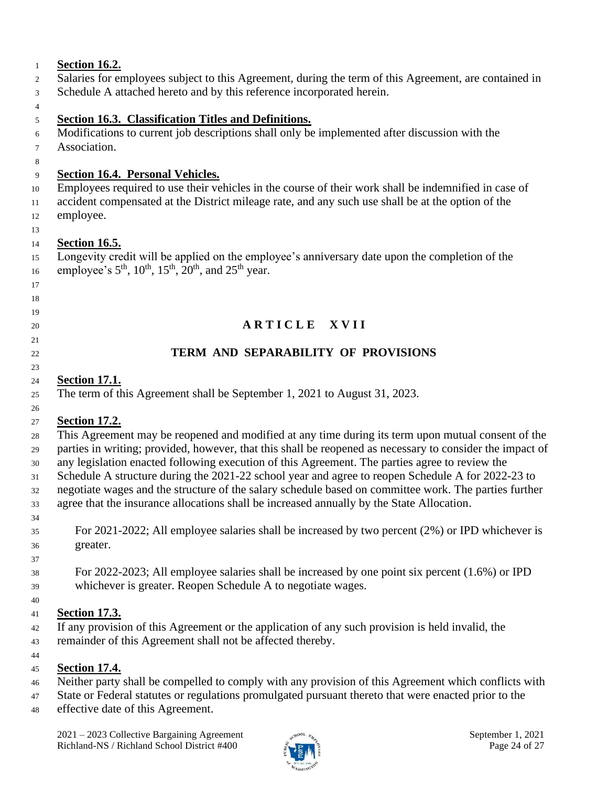| <b>Section 16.2.</b>                                                                                                                                                            |
|---------------------------------------------------------------------------------------------------------------------------------------------------------------------------------|
| Salaries for employees subject to this Agreement, during the term of this Agreement, are contained in                                                                           |
| Schedule A attached hereto and by this reference incorporated herein.                                                                                                           |
|                                                                                                                                                                                 |
| Section 16.3. Classification Titles and Definitions.                                                                                                                            |
| Modifications to current job descriptions shall only be implemented after discussion with the                                                                                   |
| Association.                                                                                                                                                                    |
| <b>Section 16.4. Personal Vehicles.</b>                                                                                                                                         |
| Employees required to use their vehicles in the course of their work shall be indemnified in case of                                                                            |
| accident compensated at the District mileage rate, and any such use shall be at the option of the                                                                               |
| employee.                                                                                                                                                                       |
|                                                                                                                                                                                 |
| <b>Section 16.5.</b>                                                                                                                                                            |
| Longevity credit will be applied on the employee's anniversary date upon the completion of the<br>employee's $5^{th}$ , $10^{th}$ , $15^{th}$ , $20^{th}$ , and $25^{th}$ year. |
|                                                                                                                                                                                 |
|                                                                                                                                                                                 |
|                                                                                                                                                                                 |
| ARTICLE XVII                                                                                                                                                                    |
| TERM AND SEPARABILITY OF PROVISIONS                                                                                                                                             |
|                                                                                                                                                                                 |
| <b>Section 17.1.</b>                                                                                                                                                            |
| The term of this Agreement shall be September 1, 2021 to August 31, 2023.                                                                                                       |
|                                                                                                                                                                                 |
| <b>Section 17.2.</b>                                                                                                                                                            |
| This Agreement may be reopened and modified at any time during its term upon mutual consent of the                                                                              |
| parties in writing; provided, however, that this shall be reopened as necessary to consider the impact of                                                                       |
| any legislation enacted following execution of this Agreement. The parties agree to review the                                                                                  |
| Schedule A structure during the 2021-22 school year and agree to reopen Schedule A for 2022-23 to                                                                               |
| negotiate wages and the structure of the salary schedule based on committee work. The parties further                                                                           |
| agree that the insurance allocations shall be increased annually by the State Allocation.                                                                                       |
|                                                                                                                                                                                 |
| For 2021-2022; All employee salaries shall be increased by two percent $(2%)$ or IPD whichever is                                                                               |
| greater.                                                                                                                                                                        |
|                                                                                                                                                                                 |
| For 2022-2023; All employee salaries shall be increased by one point six percent (1.6%) or IPD                                                                                  |
| whichever is greater. Reopen Schedule A to negotiate wages.                                                                                                                     |
|                                                                                                                                                                                 |
| <b>Section 17.3.</b><br>If any provision of this Agreement or the application of any such provision is held invalid, the                                                        |
| remainder of this Agreement shall not be affected thereby.                                                                                                                      |
|                                                                                                                                                                                 |
| <b>Section 17.4.</b>                                                                                                                                                            |
| Neither party shall be compelled to comply with any provision of this Agreement which conflicts with                                                                            |
| State or Federal statutes or regulations promulgated pursuant thereto that were enacted prior to the                                                                            |
| effective date of this Agreement.                                                                                                                                               |

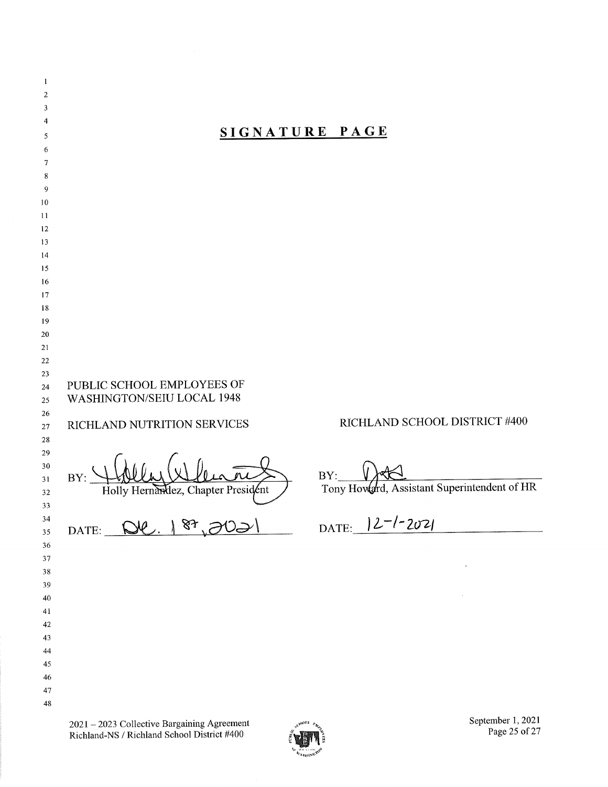| $\mathbf{1}$            |                                                                                                                                                              |  |  |
|-------------------------|--------------------------------------------------------------------------------------------------------------------------------------------------------------|--|--|
| $\overline{\mathbf{c}}$ |                                                                                                                                                              |  |  |
| 3                       |                                                                                                                                                              |  |  |
| 4                       |                                                                                                                                                              |  |  |
| 5                       | SIGNATURE PAGE                                                                                                                                               |  |  |
| 6                       |                                                                                                                                                              |  |  |
| 7                       |                                                                                                                                                              |  |  |
| 8                       |                                                                                                                                                              |  |  |
| 9                       |                                                                                                                                                              |  |  |
| 10<br>11                |                                                                                                                                                              |  |  |
| 12                      |                                                                                                                                                              |  |  |
| 13                      |                                                                                                                                                              |  |  |
| 14                      |                                                                                                                                                              |  |  |
| 15                      |                                                                                                                                                              |  |  |
| 16                      |                                                                                                                                                              |  |  |
| 17                      |                                                                                                                                                              |  |  |
| 18                      |                                                                                                                                                              |  |  |
| 19                      |                                                                                                                                                              |  |  |
| 20                      |                                                                                                                                                              |  |  |
| 21<br>22                |                                                                                                                                                              |  |  |
| 23                      |                                                                                                                                                              |  |  |
| 24<br>25                | PUBLIC SCHOOL EMPLOYEES OF<br>WASHINGTON/SEIU LOCAL 1948                                                                                                     |  |  |
| 26                      |                                                                                                                                                              |  |  |
| 27                      | RICHLAND SCHOOL DISTRICT #400<br>RICHLAND NUTRITION SERVICES                                                                                                 |  |  |
| 28                      |                                                                                                                                                              |  |  |
| 29                      |                                                                                                                                                              |  |  |
| 30                      | BY:<br>BY:                                                                                                                                                   |  |  |
| 31<br>32                | Tony Howard, Assistant Superintendent of HR<br>Holly Hernandez, Chapter President                                                                            |  |  |
| 33                      |                                                                                                                                                              |  |  |
| 34                      |                                                                                                                                                              |  |  |
| 35                      | DATE: 12-1-2021<br>De. 187,2021<br>DATE:                                                                                                                     |  |  |
| 36                      |                                                                                                                                                              |  |  |
| 37                      |                                                                                                                                                              |  |  |
| 38                      |                                                                                                                                                              |  |  |
| 39                      |                                                                                                                                                              |  |  |
| 40                      |                                                                                                                                                              |  |  |
| 41                      |                                                                                                                                                              |  |  |
| 42<br>43                |                                                                                                                                                              |  |  |
| 44                      |                                                                                                                                                              |  |  |
| 45                      |                                                                                                                                                              |  |  |
| 46                      |                                                                                                                                                              |  |  |
| 47                      |                                                                                                                                                              |  |  |
| 48                      |                                                                                                                                                              |  |  |
|                         | September 1, 2021<br>2021 - 2023 Collective Bargaining Agreement<br><b>SHOOL FAGE</b><br>Page 25 of 27<br>Richland-NS / Richland School District #400<br>ven |  |  |

.<br>Meu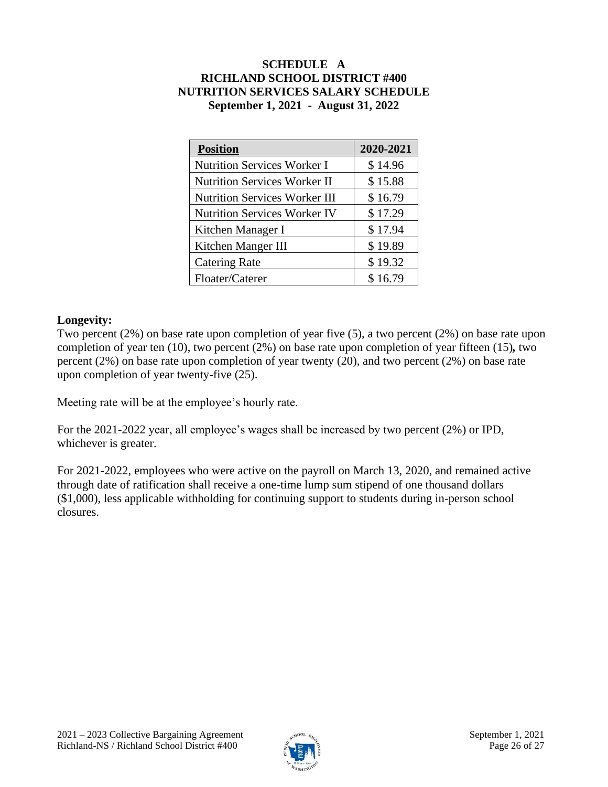#### **SCHEDULE A RICHLAND SCHOOL DISTRICT #400 NUTRITION SERVICES SALARY SCHEDULE September 1, 2021 - August 31, 2022**

| <b>Position</b>                      | 2020-2021 |
|--------------------------------------|-----------|
| <b>Nutrition Services Worker I</b>   | \$14.96   |
| <b>Nutrition Services Worker II</b>  | \$15.88   |
| <b>Nutrition Services Worker III</b> | \$16.79   |
| <b>Nutrition Services Worker IV</b>  | \$17.29   |
| Kitchen Manager I                    | \$17.94   |
| Kitchen Manger III                   | \$19.89   |
| <b>Catering Rate</b>                 | \$19.32   |
| Floater/Caterer                      | \$16.79   |

#### **Longevity:**

Two percent (2%) on base rate upon completion of year five (5), a two percent (2%) on base rate upon completion of year ten (10), two percent (2%) on base rate upon completion of year fifteen (15)*,* two percent (2%) on base rate upon completion of year twenty (20), and two percent (2%) on base rate upon completion of year twenty-five (25).

Meeting rate will be at the employee's hourly rate.

For the 2021-2022 year, all employee's wages shall be increased by two percent (2%) or IPD, whichever is greater.

For 2021-2022, employees who were active on the payroll on March 13, 2020, and remained active through date of ratification shall receive a one-time lump sum stipend of one thousand dollars (\$1,000), less applicable withholding for continuing support to students during in-person school closures.